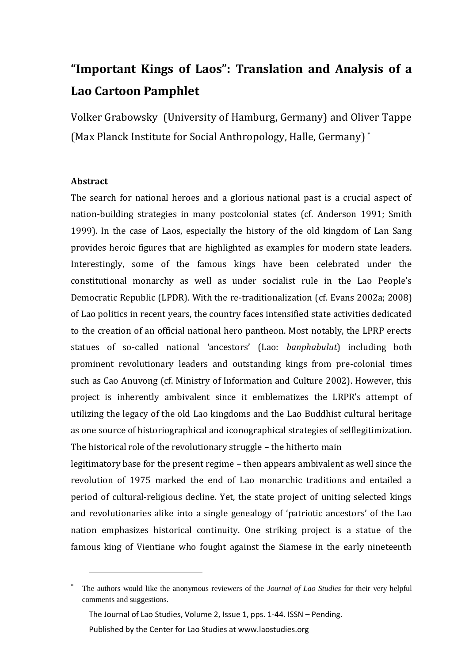# **"Important Kings of Laos": Translation and Analysis of a Lao Cartoon Pamphlet**

Volker Grabowsky (University of Hamburg, Germany) and Oliver Tappe (Max Planck Institute for Social Anthropology, Halle, Germany) \*

# **Abstract**

1

The search for national heroes and a glorious national past is a crucial aspect of nation-building strategies in many postcolonial states (cf. Anderson 1991; Smith 1999). In the case of Laos, especially the history of the old kingdom of Lan Sang provides heroic figures that are highlighted as examples for modern state leaders. Interestingly, some of the famous kings have been celebrated under the constitutional monarchy as well as under socialist rule in the Lao People's Democratic Republic (LPDR). With the re-traditionalization (cf. Evans 2002a; 2008) of Lao politics in recent years, the country faces intensified state activities dedicated to the creation of an official national hero pantheon. Most notably, the LPRP erects statues of so-called national 'ancestors' (Lao: *banphabulut*) including both prominent revolutionary leaders and outstanding kings from pre-colonial times such as Cao Anuvong (cf. Ministry of Information and Culture 2002). However, this project is inherently ambivalent since it emblematizes the LRPR's attempt of utilizing the legacy of the old Lao kingdoms and the Lao Buddhist cultural heritage as one source of historiographical and iconographical strategies of selflegitimization. The historical role of the revolutionary struggle – the hitherto main

legitimatory base for the present regime – then appears ambivalent as well since the revolution of 1975 marked the end of Lao monarchic traditions and entailed a period of cultural-religious decline. Yet, the state project of uniting selected kings and revolutionaries alike into a single genealogy of 'patriotic ancestors' of the Lao nation emphasizes historical continuity. One striking project is a statue of the famous king of Vientiane who fought against the Siamese in the early nineteenth

The Journal of Lao Studies, Volume 2, Issue 1, pps. 1-44. ISSN – Pending. Published by the Center for Lao Studies at www.laostudies.org

<sup>\*</sup> The authors would like the anonymous reviewers of the *Journal of Lao Studies* for their very helpful comments and suggestions.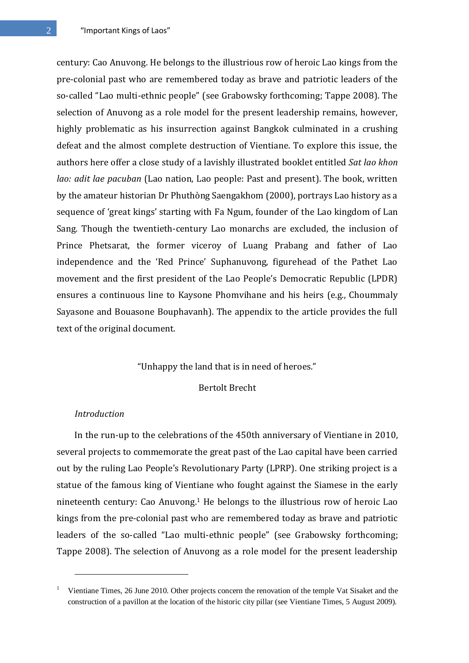century: Cao Anuvong. He belongs to the illustrious row of heroic Lao kings from the pre-colonial past who are remembered today as brave and patriotic leaders of the so-called "Lao multi-ethnic people" (see Grabowsky forthcoming; Tappe 2008). The selection of Anuvong as a role model for the present leadership remains, however, highly problematic as his insurrection against Bangkok culminated in a crushing defeat and the almost complete destruction of Vientiane. To explore this issue, the authors here offer a close study of a lavishly illustrated booklet entitled *Sat lao khon lao: adit lae pacuban* (Lao nation, Lao people: Past and present). The book, written by the amateur historian Dr Phuthòng Saengakhom (2000), portrays Lao history as a sequence of 'great kings' starting with Fa Ngum, founder of the Lao kingdom of Lan Sang. Though the twentieth-century Lao monarchs are excluded, the inclusion of Prince Phetsarat, the former viceroy of Luang Prabang and father of Lao independence and the 'Red Prince' Suphanuvong, figurehead of the Pathet Lao movement and the first president of the Lao People's Democratic Republic (LPDR) ensures a continuous line to Kaysone Phomvihane and his heirs (e.g., Choummaly Sayasone and Bouasone Bouphavanh). The appendix to the article provides the full text of the original document.

## "Unhappy the land that is in need of heroes."

## Bertolt Brecht

#### *Introduction*

1

In the run-up to the celebrations of the 450th anniversary of Vientiane in 2010, several projects to commemorate the great past of the Lao capital have been carried out by the ruling Lao People's Revolutionary Party (LPRP). One striking project is a statue of the famous king of Vientiane who fought against the Siamese in the early nineteenth century: Cao Anuvong.<sup>1</sup> He belongs to the illustrious row of heroic Lao kings from the pre-colonial past who are remembered today as brave and patriotic leaders of the so-called "Lao multi-ethnic people" (see Grabowsky forthcoming; Tappe 2008). The selection of Anuvong as a role model for the present leadership

<sup>1</sup> Vientiane Times, 26 June 2010. Other projects concern the renovation of the temple Vat Sisaket and the construction of a pavillon at the location of the historic city pillar (see Vientiane Times, 5 August 2009).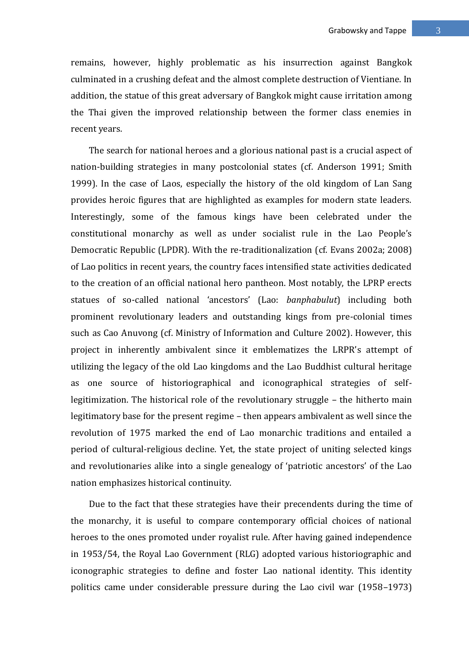remains, however, highly problematic as his insurrection against Bangkok culminated in a crushing defeat and the almost complete destruction of Vientiane. In addition, the statue of this great adversary of Bangkok might cause irritation among the Thai given the improved relationship between the former class enemies in recent years.

The search for national heroes and a glorious national past is a crucial aspect of nation-building strategies in many postcolonial states (cf. Anderson 1991; Smith 1999). In the case of Laos, especially the history of the old kingdom of Lan Sang provides heroic figures that are highlighted as examples for modern state leaders. Interestingly, some of the famous kings have been celebrated under the constitutional monarchy as well as under socialist rule in the Lao People's Democratic Republic (LPDR). With the re-traditionalization (cf. Evans 2002a; 2008) of Lao politics in recent years, the country faces intensified state activities dedicated to the creation of an official national hero pantheon. Most notably, the LPRP erects statues of so-called national 'ancestors' (Lao: *banphabulut*) including both prominent revolutionary leaders and outstanding kings from pre-colonial times such as Cao Anuvong (cf. Ministry of Information and Culture 2002). However, this project in inherently ambivalent since it emblematizes the LRPR's attempt of utilizing the legacy of the old Lao kingdoms and the Lao Buddhist cultural heritage as one source of historiographical and iconographical strategies of selflegitimization. The historical role of the revolutionary struggle – the hitherto main legitimatory base for the present regime – then appears ambivalent as well since the revolution of 1975 marked the end of Lao monarchic traditions and entailed a period of cultural-religious decline. Yet, the state project of uniting selected kings and revolutionaries alike into a single genealogy of 'patriotic ancestors' of the Lao nation emphasizes historical continuity.

Due to the fact that these strategies have their precendents during the time of the monarchy, it is useful to compare contemporary official choices of national heroes to the ones promoted under royalist rule. After having gained independence in 1953/54, the Royal Lao Government (RLG) adopted various historiographic and iconographic strategies to define and foster Lao national identity. This identity politics came under considerable pressure during the Lao civil war (1958–1973)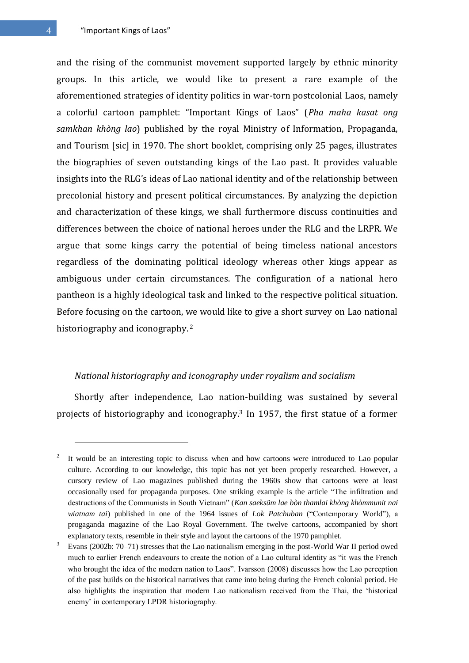4 "Important Kings of Laos"

and the rising of the communist movement supported largely by ethnic minority groups. In this article, we would like to present a rare example of the aforementioned strategies of identity politics in war-torn postcolonial Laos, namely a colorful cartoon pamphlet: "Important Kings of Laos" (*Pha maha kasat ong samkhan khòng lao*) published by the royal Ministry of Information, Propaganda, and Tourism [sic] in 1970. The short booklet, comprising only 25 pages, illustrates the biographies of seven outstanding kings of the Lao past. It provides valuable insights into the RLG's ideas of Lao national identity and of the relationship between precolonial history and present political circumstances. By analyzing the depiction and characterization of these kings, we shall furthermore discuss continuities and differences between the choice of national heroes under the RLG and the LRPR. We argue that some kings carry the potential of being timeless national ancestors regardless of the dominating political ideology whereas other kings appear as ambiguous under certain circumstances. The configuration of a national hero pantheon is a highly ideological task and linked to the respective political situation. Before focusing on the cartoon, we would like to give a short survey on Lao national historiography and iconography. <sup>2</sup>

# *National historiography and iconography under royalism and socialism*

Shortly after independence, Lao nation-building was sustained by several projects of historiography and iconography.<sup>3</sup> In 1957, the first statue of a former

<u>.</u>

<sup>2</sup> It would be an interesting topic to discuss when and how cartoons were introduced to Lao popular culture. According to our knowledge, this topic has not yet been properly researched. However, a cursory review of Lao magazines published during the 1960s show that cartoons were at least occasionally used for propaganda purposes. One striking example is the article "The infiltration and destructions of the Communists in South Vietnam" (*Kan saeksüm lae bòn thamlai khòng khòmmunit nai wiatnam tai*) published in one of the 1964 issues of *Lok Patchuban* ("Contemporary World"), a progaganda magazine of the Lao Royal Government. The twelve cartoons, accompanied by short explanatory texts, resemble in their style and layout the cartoons of the 1970 pamphlet.

<sup>3</sup> Evans (2002b: 70–71) stresses that the Lao nationalism emerging in the post-World War II period owed much to earlier French endeavours to create the notion of a Lao cultural identity as "it was the French who brought the idea of the modern nation to Laos". Ivarsson (2008) discusses how the Lao perception of the past builds on the historical narratives that came into being during the French colonial period. He also highlights the inspiration that modern Lao nationalism received from the Thai, the 'historical enemy' in contemporary LPDR historiography.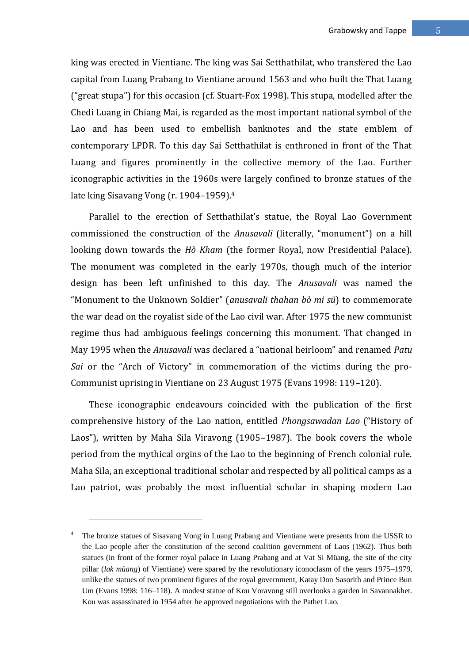king was erected in Vientiane. The king was Sai Setthathilat, who transfered the Lao capital from Luang Prabang to Vientiane around 1563 and who built the That Luang ("great stupa") for this occasion (cf. Stuart-Fox 1998). This stupa, modelled after the Chedi Luang in Chiang Mai, is regarded as the most important national symbol of the Lao and has been used to embellish banknotes and the state emblem of contemporary LPDR. To this day Sai Setthathilat is enthroned in front of the That Luang and figures prominently in the collective memory of the Lao. Further iconographic activities in the 1960s were largely confined to bronze statues of the late king Sisavang Vong (r. 1904–1959).<sup>4</sup>

Parallel to the erection of Setthathilat's statue, the Royal Lao Government commissioned the construction of the *Anusavali* (literally, "monument") on a hill looking down towards the *Hò Kham* (the former Royal, now Presidential Palace). The monument was completed in the early 1970s, though much of the interior design has been left unfinished to this day. The *Anusavali* was named the "Monument to the Unknown Soldier" (*anusavali thahan bò mi sü*) to commemorate the war dead on the royalist side of the Lao civil war. After 1975 the new communist regime thus had ambiguous feelings concerning this monument. That changed in May 1995 when the *Anusavali* was declared a "national heirloom" and renamed *Patu Sai* or the "Arch of Victory" in commemoration of the victims during the pro-Communist uprising in Vientiane on 23 August 1975 (Evans 1998: 119–120).

These iconographic endeavours coincided with the publication of the first comprehensive history of the Lao nation, entitled *Phongsawadan Lao* ("History of Laos"), written by Maha Sila Viravong (1905–1987). The book covers the whole period from the mythical orgins of the Lao to the beginning of French colonial rule. Maha Sila, an exceptional traditional scholar and respected by all political camps as a Lao patriot, was probably the most influential scholar in shaping modern Lao

<sup>4</sup> The bronze statues of Sisavang Vong in Luang Prabang and Vientiane were presents from the USSR to the Lao people after the constitution of the second coalition government of Laos (1962). Thus both statues (in front of the former royal palace in Luang Prabang and at Vat Si Müang, the site of the city pillar (*lak müang*) of Vientiane) were spared by the revolutionary iconoclasm of the years 1975–1979, unlike the statues of two prominent figures of the royal government, Katay Don Sasorith and Prince Bun Um (Evans 1998: 116–118). A modest statue of Kou Voravong still overlooks a garden in Savannakhet. Kou was assassinated in 1954 after he approved negotiations with the Pathet Lao.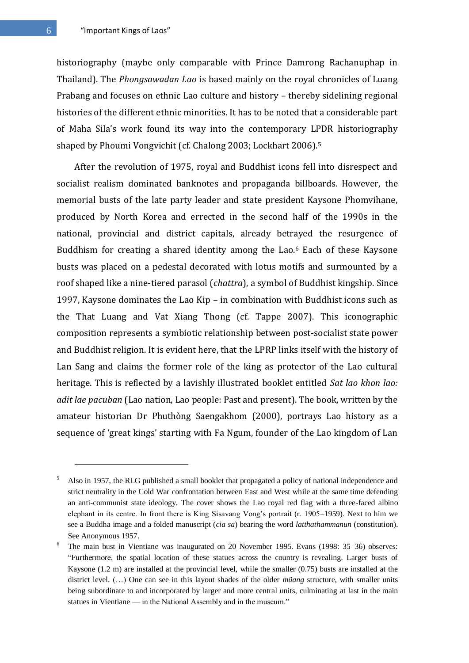historiography (maybe only comparable with Prince Damrong Rachanuphap in Thailand). The *Phongsawadan Lao* is based mainly on the royal chronicles of Luang Prabang and focuses on ethnic Lao culture and history – thereby sidelining regional histories of the different ethnic minorities. It has to be noted that a considerable part of Maha Sila's work found its way into the contemporary LPDR historiography shaped by Phoumi Vongvichit (cf. Chalong 2003; Lockhart 2006).<sup>5</sup>

After the revolution of 1975, royal and Buddhist icons fell into disrespect and socialist realism dominated banknotes and propaganda billboards. However, the memorial busts of the late party leader and state president Kaysone Phomvihane, produced by North Korea and errected in the second half of the 1990s in the national, provincial and district capitals, already betrayed the resurgence of Buddhism for creating a shared identity among the Lao.<sup>6</sup> Each of these Kaysone busts was placed on a pedestal decorated with lotus motifs and surmounted by a roof shaped like a nine-tiered parasol (*chattra*), a symbol of Buddhist kingship. Since 1997, Kaysone dominates the Lao Kip – in combination with Buddhist icons such as the That Luang and Vat Xiang Thong (cf. Tappe 2007). This iconographic composition represents a symbiotic relationship between post-socialist state power and Buddhist religion. It is evident here, that the LPRP links itself with the history of Lan Sang and claims the former role of the king as protector of the Lao cultural heritage. This is reflected by a lavishly illustrated booklet entitled *Sat lao khon lao: adit lae pacuban* (Lao nation, Lao people: Past and present). The book, written by the amateur historian Dr Phuthòng Saengakhom (2000), portrays Lao history as a sequence of 'great kings' starting with Fa Ngum, founder of the Lao kingdom of Lan

<u>.</u>

<sup>5</sup> Also in 1957, the RLG published a small booklet that propagated a policy of national independence and strict neutrality in the Cold War confrontation between East and West while at the same time defending an anti-communist state ideology. The cover shows the Lao royal red flag with a three-faced albino elephant in its centre. In front there is King Sisavang Vong's portrait (r. 1905–1959). Next to him we see a Buddha image and a folded manuscript (*cia sa*) bearing the word *latthathammanun* (constitution). See Anonymous 1957.

 $6$  The main bust in Vientiane was inaugurated on 20 November 1995. Evans (1998: 35–36) observes: ―Furthermore, the spatial location of these statues across the country is revealing. Larger busts of Kaysone (1.2 m) are installed at the provincial level, while the smaller (0.75) busts are installed at the district level. (…) One can see in this layout shades of the older *müang* structure, with smaller units being subordinate to and incorporated by larger and more central units, culminating at last in the main statues in Vientiane — in the National Assembly and in the museum."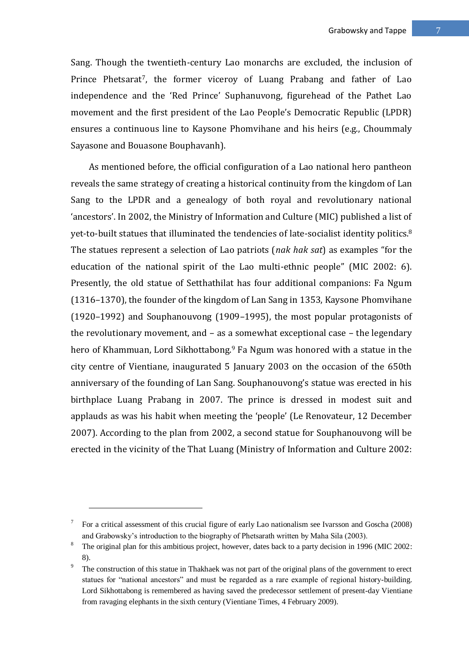Sang. Though the twentieth-century Lao monarchs are excluded, the inclusion of Prince Phetsarat<sup>7</sup>, the former viceroy of Luang Prabang and father of Lao independence and the 'Red Prince' Suphanuvong, figurehead of the Pathet Lao movement and the first president of the Lao People's Democratic Republic (LPDR) ensures a continuous line to Kaysone Phomvihane and his heirs (e.g., Choummaly Sayasone and Bouasone Bouphavanh).

As mentioned before, the official configuration of a Lao national hero pantheon reveals the same strategy of creating a historical continuity from the kingdom of Lan Sang to the LPDR and a genealogy of both royal and revolutionary national 'ancestors'. In 2002, the Ministry of Information and Culture (MIC) published a list of yet-to-built statues that illuminated the tendencies of late-socialist identity politics.<sup>8</sup> The statues represent a selection of Lao patriots (*nak hak sat*) as examples "for the education of the national spirit of the Lao multi-ethnic people" (MIC 2002: 6). Presently, the old statue of Setthathilat has four additional companions: Fa Ngum (1316–1370), the founder of the kingdom of Lan Sang in 1353, Kaysone Phomvihane (1920–1992) and Souphanouvong (1909–1995), the most popular protagonists of the revolutionary movement, and – as a somewhat exceptional case – the legendary hero of Khammuan, Lord Sikhottabong.<sup>9</sup> Fa Ngum was honored with a statue in the city centre of Vientiane, inaugurated 5 January 2003 on the occasion of the 650th anniversary of the founding of Lan Sang. Souphanouvong's statue was erected in his birthplace Luang Prabang in 2007. The prince is dressed in modest suit and applauds as was his habit when meeting the 'people' (Le Renovateur, 12 December 2007). According to the plan from 2002, a second statue for Souphanouvong will be erected in the vicinity of the That Luang (Ministry of Information and Culture 2002:

<sup>7</sup> For a critical assessment of this crucial figure of early Lao nationalism see Ivarsson and Goscha (2008) and Grabowsky's introduction to the biography of Phetsarath written by Maha Sila (2003).

The original plan for this ambitious project, however, dates back to a party decision in 1996 (MIC 2002: 8).

The construction of this statue in Thakhaek was not part of the original plans of the government to erect statues for "national ancestors" and must be regarded as a rare example of regional history-building. Lord Sikhottabong is remembered as having saved the predecessor settlement of present-day Vientiane from ravaging elephants in the sixth century (Vientiane Times, 4 February 2009).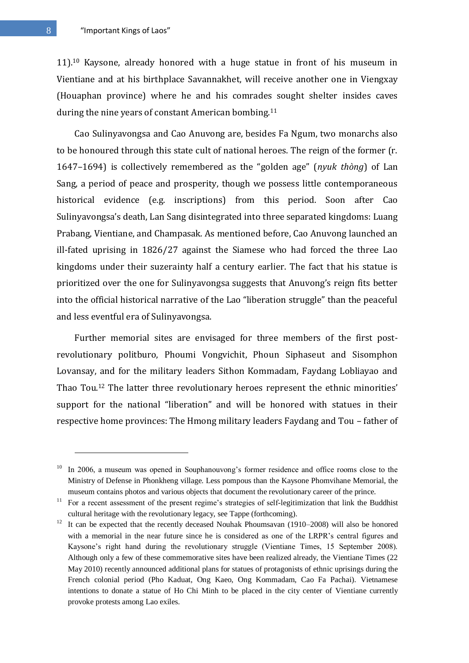11).<sup>10</sup> Kaysone, already honored with a huge statue in front of his museum in Vientiane and at his birthplace Savannakhet, will receive another one in Viengxay (Houaphan province) where he and his comrades sought shelter insides caves during the nine years of constant American bombing.<sup>11</sup>

Cao Sulinyavongsa and Cao Anuvong are, besides Fa Ngum, two monarchs also to be honoured through this state cult of national heroes. The reign of the former (r. 1647–1694) is collectively remembered as the "golden age" (*nyuk thòng*) of Lan Sang, a period of peace and prosperity, though we possess little contemporaneous historical evidence (e.g. inscriptions) from this period. Soon after Cao Sulinyavongsa's death, Lan Sang disintegrated into three separated kingdoms: Luang Prabang, Vientiane, and Champasak. As mentioned before, Cao Anuvong launched an ill-fated uprising in 1826/27 against the Siamese who had forced the three Lao kingdoms under their suzerainty half a century earlier. The fact that his statue is prioritized over the one for Sulinyavongsa suggests that Anuvong's reign fits better into the official historical narrative of the Lao "liberation struggle" than the peaceful and less eventful era of Sulinyavongsa.

Further memorial sites are envisaged for three members of the first postrevolutionary politburo, Phoumi Vongvichit, Phoun Siphaseut and Sisomphon Lovansay, and for the military leaders Sithon Kommadam, Faydang Lobliayao and Thao Tou.<sup>12</sup> The latter three revolutionary heroes represent the ethnic minorities' support for the national "liberation" and will be honored with statues in their respective home provinces: The Hmong military leaders Faydang and Tou – father of

<u>.</u>

In 2006, a museum was opened in Souphanouvong's former residence and office rooms close to the Ministry of Defense in Phonkheng village. Less pompous than the Kaysone Phomvihane Memorial, the museum contains photos and various objects that document the revolutionary career of the prince.

<sup>&</sup>lt;sup>11</sup> For a recent assessment of the present regime's strategies of self-legitimization that link the Buddhist cultural heritage with the revolutionary legacy, see Tappe (forthcoming).

<sup>&</sup>lt;sup>12</sup> It can be expected that the recently deceased Nouhak Phoumsavan (1910–2008) will also be honored with a memorial in the near future since he is considered as one of the LRPR's central figures and Kaysone's right hand during the revolutionary struggle (Vientiane Times, 15 September 2008). Although only a few of these commemorative sites have been realized already, the Vientiane Times (22 May 2010) recently announced additional plans for statues of protagonists of ethnic uprisings during the French colonial period (Pho Kaduat, Ong Kaeo, Ong Kommadam, Cao Fa Pachai). Vietnamese intentions to donate a statue of Ho Chi Minh to be placed in the city center of Vientiane currently provoke protests among Lao exiles.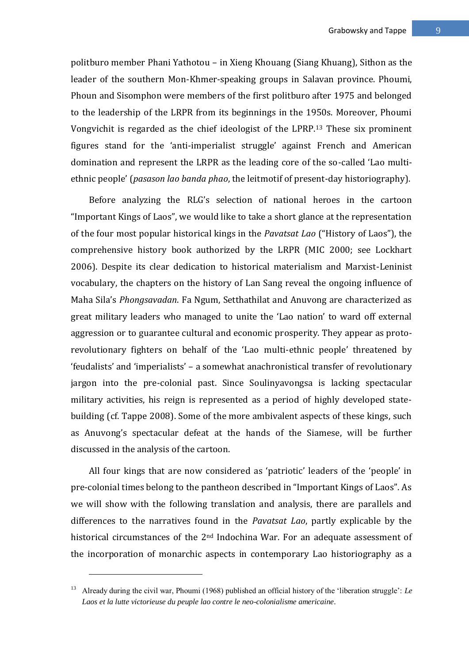politburo member Phani Yathotou – in Xieng Khouang (Siang Khuang), Sithon as the leader of the southern Mon-Khmer-speaking groups in Salavan province. Phoumi, Phoun and Sisomphon were members of the first politburo after 1975 and belonged to the leadership of the LRPR from its beginnings in the 1950s. Moreover, Phoumi Vongvichit is regarded as the chief ideologist of the LPRP.<sup>13</sup> These six prominent figures stand for the 'anti-imperialist struggle' against French and American domination and represent the LRPR as the leading core of the so-called 'Lao multiethnic people' (*pasason lao banda phao*, the leitmotif of present-day historiography).

Before analyzing the RLG's selection of national heroes in the cartoon "Important Kings of Laos", we would like to take a short glance at the representation of the four most popular historical kings in the *Pavatsat Lao* ("History of Laos"), the comprehensive history book authorized by the LRPR (MIC 2000; see Lockhart 2006). Despite its clear dedication to historical materialism and Marxist-Leninist vocabulary, the chapters on the history of Lan Sang reveal the ongoing influence of Maha Sila's *Phongsavadan*. Fa Ngum, Setthathilat and Anuvong are characterized as great military leaders who managed to unite the 'Lao nation' to ward off external aggression or to guarantee cultural and economic prosperity. They appear as protorevolutionary fighters on behalf of the 'Lao multi-ethnic people' threatened by 'feudalists' and 'imperialists' – a somewhat anachronistical transfer of revolutionary jargon into the pre-colonial past. Since Soulinyavongsa is lacking spectacular military activities, his reign is represented as a period of highly developed statebuilding (cf. Tappe 2008). Some of the more ambivalent aspects of these kings, such as Anuvong's spectacular defeat at the hands of the Siamese, will be further discussed in the analysis of the cartoon.

All four kings that are now considered as 'patriotic' leaders of the 'people' in pre-colonial times belong to the pantheon described in "Important Kings of Laos". As we will show with the following translation and analysis, there are parallels and differences to the narratives found in the *Pavatsat Lao*, partly explicable by the historical circumstances of the 2<sup>nd</sup> Indochina War. For an adequate assessment of the incorporation of monarchic aspects in contemporary Lao historiography as a

<sup>&</sup>lt;sup>13</sup> Already during the civil war, Phoumi (1968) published an official history of the 'liberation struggle': *Le Laos et la lutte victorieuse du peuple lao contre le neo-colonialisme americaine*.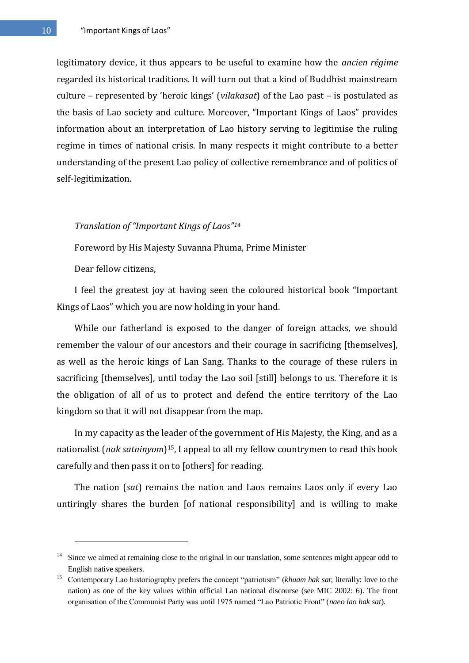legitimatory device, it thus appears to be useful to examine how the *ancien régime* regarded its historical traditions. It will turn out that a kind of Buddhist mainstream culture – represented by 'heroic kings' (*vilakasat*) of the Lao past – is postulated as the basis of Lao society and culture. Moreover, "Important Kings of Laos" provides information about an interpretation of Lao history serving to legitimise the ruling regime in times of national crisis. In many respects it might contribute to a better understanding of the present Lao policy of collective remembrance and of politics of self-legitimization.

# *Translation of "Important Kings of Laos"<sup>14</sup>*

Foreword by His Majesty Suvanna Phuma, Prime Minister

Dear fellow citizens,

1

I feel the greatest joy at having seen the coloured historical book "Important Kings of Laos" which you are now holding in your hand.

While our fatherland is exposed to the danger of foreign attacks, we should remember the valour of our ancestors and their courage in sacrificing [themselves], as well as the heroic kings of Lan Sang. Thanks to the courage of these rulers in sacrificing [themselves], until today the Lao soil [still] belongs to us. Therefore it is the obligation of all of us to protect and defend the entire territory of the Lao kingdom so that it will not disappear from the map.

In my capacity as the leader of the government of His Majesty, the King, and as a nationalist (*nak satninyom*) <sup>15</sup>, I appeal to all my fellow countrymen to read this book carefully and then pass it on to [others] for reading.

The nation (*sat*) remains the nation and Laos remains Laos only if every Lao untiringly shares the burden [of national responsibility] and is willing to make

<sup>&</sup>lt;sup>14</sup> Since we aimed at remaining close to the original in our translation, some sentences might appear odd to English native speakers.

<sup>&</sup>lt;sup>15</sup> Contemporary Lao historiography prefers the concept "patriotism" (*khuam hak sat*; literally: love to the nation) as one of the key values within official Lao national discourse (see MIC 2002: 6). The front organisation of the Communist Party was until 1975 named "Lao Patriotic Front" (*naeo lao hak sat*).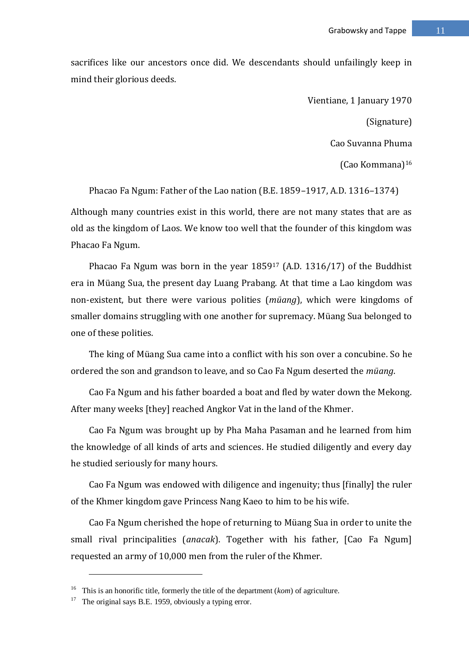sacrifices like our ancestors once did. We descendants should unfailingly keep in mind their glorious deeds.

> Vientiane, 1 January 1970 (Signature) Cao Suvanna Phuma (Cao Kommana)<sup>16</sup>

Phacao Fa Ngum: Father of the Lao nation (B.E. 1859–1917, A.D. 1316–1374) Although many countries exist in this world, there are not many states that are as old as the kingdom of Laos. We know too well that the founder of this kingdom was Phacao Fa Ngum.

Phacao Fa Ngum was born in the year 1859<sup>17</sup> (A.D. 1316/17) of the Buddhist era in Müang Sua, the present day Luang Prabang. At that time a Lao kingdom was non-existent, but there were various polities (*müang*), which were kingdoms of smaller domains struggling with one another for supremacy. Müang Sua belonged to one of these polities.

The king of Müang Sua came into a conflict with his son over a concubine. So he ordered the son and grandson to leave, and so Cao Fa Ngum deserted the *müang*.

Cao Fa Ngum and his father boarded a boat and fled by water down the Mekong. After many weeks [they] reached Angkor Vat in the land of the Khmer.

Cao Fa Ngum was brought up by Pha Maha Pasaman and he learned from him the knowledge of all kinds of arts and sciences. He studied diligently and every day he studied seriously for many hours.

Cao Fa Ngum was endowed with diligence and ingenuity; thus [finally] the ruler of the Khmer kingdom gave Princess Nang Kaeo to him to be his wife.

Cao Fa Ngum cherished the hope of returning to Müang Sua in order to unite the small rival principalities (*anacak*). Together with his father, [Cao Fa Ngum] requested an army of 10,000 men from the ruler of the Khmer.

<sup>16</sup> This is an honorific title, formerly the title of the department (*kom*) of agriculture.

 $17$  The original says B.E. 1959, obviously a typing error.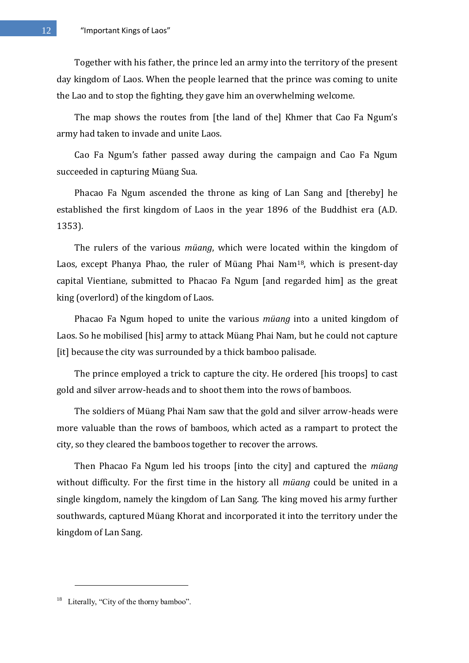Together with his father, the prince led an army into the territory of the present day kingdom of Laos. When the people learned that the prince was coming to unite the Lao and to stop the fighting, they gave him an overwhelming welcome.

The map shows the routes from [the land of the] Khmer that Cao Fa Ngum's army had taken to invade and unite Laos.

Cao Fa Ngum's father passed away during the campaign and Cao Fa Ngum succeeded in capturing Müang Sua.

Phacao Fa Ngum ascended the throne as king of Lan Sang and [thereby] he established the first kingdom of Laos in the year 1896 of the Buddhist era (A.D. 1353).

The rulers of the various *müang*, which were located within the kingdom of Laos, except Phanya Phao, the ruler of Müang Phai Nam18, which is present-day capital Vientiane, submitted to Phacao Fa Ngum [and regarded him] as the great king (overlord) of the kingdom of Laos.

Phacao Fa Ngum hoped to unite the various *müang* into a united kingdom of Laos. So he mobilised [his] army to attack Müang Phai Nam, but he could not capture [it] because the city was surrounded by a thick bamboo palisade.

The prince employed a trick to capture the city. He ordered [his troops] to cast gold and silver arrow-heads and to shoot them into the rows of bamboos.

The soldiers of Müang Phai Nam saw that the gold and silver arrow-heads were more valuable than the rows of bamboos, which acted as a rampart to protect the city, so they cleared the bamboos together to recover the arrows.

Then Phacao Fa Ngum led his troops [into the city] and captured the *müang* without difficulty. For the first time in the history all *müang* could be united in a single kingdom, namely the kingdom of Lan Sang. The king moved his army further southwards, captured Müang Khorat and incorporated it into the territory under the kingdom of Lan Sang.

 $18$  Literally, "City of the thorny bamboo".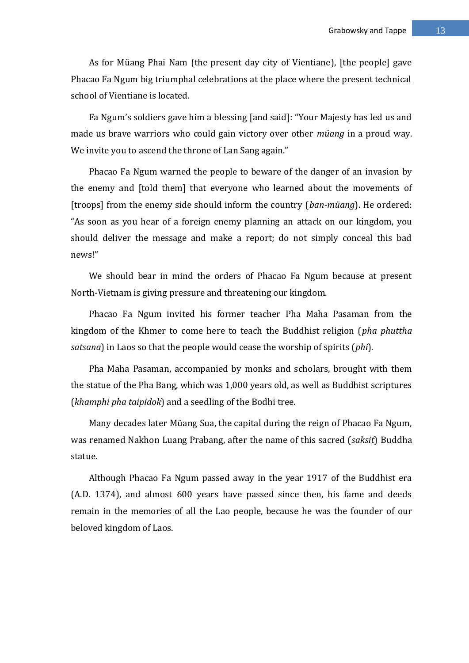As for Müang Phai Nam (the present day city of Vientiane), [the people] gave Phacao Fa Ngum big triumphal celebrations at the place where the present technical school of Vientiane is located.

Fa Ngum's soldiers gave him a blessing [and said]: "Your Majesty has led us and made us brave warriors who could gain victory over other *müang* in a proud way. We invite you to ascend the throne of Lan Sang again."

Phacao Fa Ngum warned the people to beware of the danger of an invasion by the enemy and [told them] that everyone who learned about the movements of [troops] from the enemy side should inform the country (*ban-müang*). He ordered: "As soon as you hear of a foreign enemy planning an attack on our kingdom, you should deliver the message and make a report; do not simply conceal this bad news!"

We should bear in mind the orders of Phacao Fa Ngum because at present North-Vietnam is giving pressure and threatening our kingdom.

Phacao Fa Ngum invited his former teacher Pha Maha Pasaman from the kingdom of the Khmer to come here to teach the Buddhist religion (*pha phuttha satsana*) in Laos so that the people would cease the worship of spirits (*phi*).

Pha Maha Pasaman, accompanied by monks and scholars, brought with them the statue of the Pha Bang, which was 1,000 years old, as well as Buddhist scriptures (*khamphi pha taipidok*) and a seedling of the Bodhi tree.

Many decades later Müang Sua, the capital during the reign of Phacao Fa Ngum, was renamed Nakhon Luang Prabang, after the name of this sacred (*saksit*) Buddha statue.

Although Phacao Fa Ngum passed away in the year 1917 of the Buddhist era (A.D. 1374), and almost 600 years have passed since then, his fame and deeds remain in the memories of all the Lao people, because he was the founder of our beloved kingdom of Laos.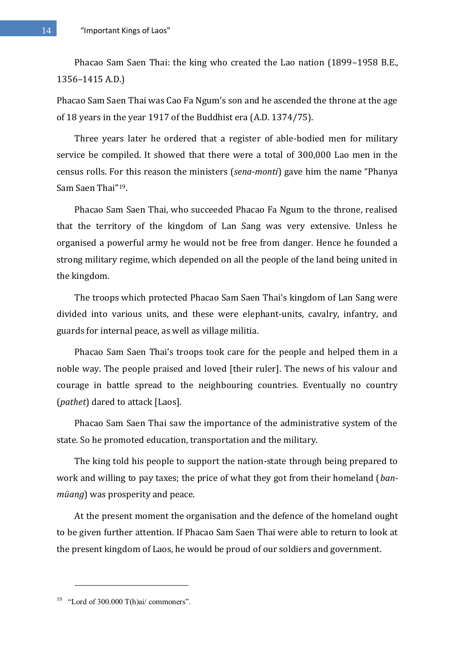14 **The "Important Kings of Laos"** 

Phacao Sam Saen Thai: the king who created the Lao nation (1899–1958 B.E., 1356–1415 A.D.)

Phacao Sam Saen Thai was Cao Fa Ngum's son and he ascended the throne at the age of 18 years in the year 1917 of the Buddhist era (A.D. 1374/75).

Three years later he ordered that a register of able-bodied men for military service be compiled. It showed that there were a total of 300,000 Lao men in the census rolls. For this reason the ministers (*sena-monti*) gave him the name "Phanya Sam Saen Thai"19.

Phacao Sam Saen Thai, who succeeded Phacao Fa Ngum to the throne, realised that the territory of the kingdom of Lan Sang was very extensive. Unless he organised a powerful army he would not be free from danger. Hence he founded a strong military regime, which depended on all the people of the land being united in the kingdom.

The troops which protected Phacao Sam Saen Thai's kingdom of Lan Sang were divided into various units, and these were elephant-units, cavalry, infantry, and guards for internal peace, as well as village militia.

Phacao Sam Saen Thai's troops took care for the people and helped them in a noble way. The people praised and loved [their ruler]. The news of his valour and courage in battle spread to the neighbouring countries. Eventually no country (*pathet*) dared to attack [Laos].

Phacao Sam Saen Thai saw the importance of the administrative system of the state. So he promoted education, transportation and the military.

The king told his people to support the nation-state through being prepared to work and willing to pay taxes; the price of what they got from their homeland (*banmüang*) was prosperity and peace.

At the present moment the organisation and the defence of the homeland ought to be given further attention. If Phacao Sam Saen Thai were able to return to look at the present kingdom of Laos, he would be proud of our soldiers and government.

 $19$  "Lord of 300.000 T(h)ai/ commoners".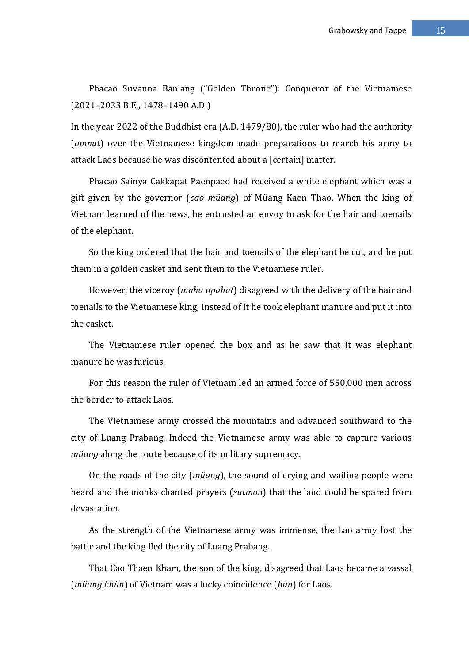Phacao Suvanna Banlang ("Golden Throne"): Conqueror of the Vietnamese (2021–2033 B.E., 1478–1490 A.D.)

In the year 2022 of the Buddhist era (A.D. 1479/80), the ruler who had the authority (*amnat*) over the Vietnamese kingdom made preparations to march his army to attack Laos because he was discontented about a [certain] matter.

Phacao Sainya Cakkapat Paenpaeo had received a white elephant which was a gift given by the governor (*cao müang*) of Müang Kaen Thao. When the king of Vietnam learned of the news, he entrusted an envoy to ask for the hair and toenails of the elephant.

So the king ordered that the hair and toenails of the elephant be cut, and he put them in a golden casket and sent them to the Vietnamese ruler.

However, the viceroy (*maha upahat*) disagreed with the delivery of the hair and toenails to the Vietnamese king; instead of it he took elephant manure and put it into the casket.

The Vietnamese ruler opened the box and as he saw that it was elephant manure he was furious.

For this reason the ruler of Vietnam led an armed force of 550,000 men across the border to attack Laos.

The Vietnamese army crossed the mountains and advanced southward to the city of Luang Prabang. Indeed the Vietnamese army was able to capture various *müang* along the route because of its military supremacy.

On the roads of the city (*müang*), the sound of crying and wailing people were heard and the monks chanted prayers (*sutmon*) that the land could be spared from devastation.

As the strength of the Vietnamese army was immense, the Lao army lost the battle and the king fled the city of Luang Prabang.

That Cao Thaen Kham, the son of the king, disagreed that Laos became a vassal (*müang khün*) of Vietnam was a lucky coincidence (*bun*) for Laos.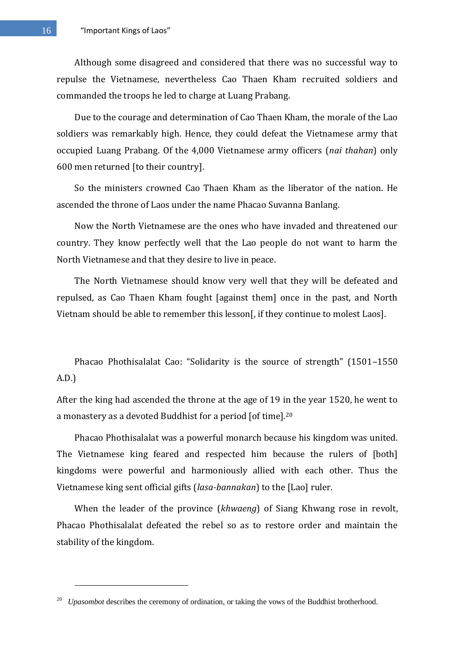Although some disagreed and considered that there was no successful way to repulse the Vietnamese, nevertheless Cao Thaen Kham recruited soldiers and commanded the troops he led to charge at Luang Prabang.

Due to the courage and determination of Cao Thaen Kham, the morale of the Lao soldiers was remarkably high. Hence, they could defeat the Vietnamese army that occupied Luang Prabang. Of the 4,000 Vietnamese army officers (*nai thahan*) only 600 men returned [to their country].

So the ministers crowned Cao Thaen Kham as the liberator of the nation. He ascended the throne of Laos under the name Phacao Suvanna Banlang.

Now the North Vietnamese are the ones who have invaded and threatened our country. They know perfectly well that the Lao people do not want to harm the North Vietnamese and that they desire to live in peace.

The North Vietnamese should know very well that they will be defeated and repulsed, as Cao Thaen Kham fought [against them] once in the past, and North Vietnam should be able to remember this lesson[, if they continue to molest Laos].

Phacao Phothisalalat Cao: "Solidarity is the source of strength" (1501–1550 A.D.)

After the king had ascended the throne at the age of 19 in the year 1520, he went to a monastery as a devoted Buddhist for a period [of time].<sup>20</sup>

Phacao Phothisalalat was a powerful monarch because his kingdom was united. The Vietnamese king feared and respected him because the rulers of [both] kingdoms were powerful and harmoniously allied with each other. Thus the Vietnamese king sent official gifts (*lasa-bannakan*) to the [Lao] ruler.

When the leader of the province (*khwaeng*) of Siang Khwang rose in revolt, Phacao Phothisalalat defeated the rebel so as to restore order and maintain the stability of the kingdom.

<sup>&</sup>lt;sup>20</sup> *Upasombot* describes the ceremony of ordination, or taking the vows of the Buddhist brotherhood.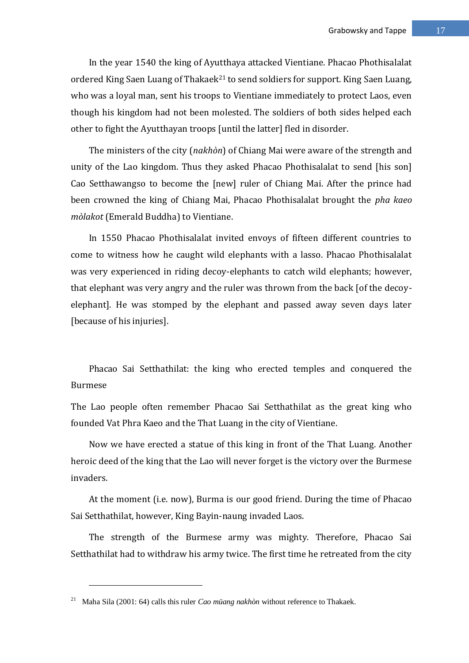In the year 1540 the king of Ayutthaya attacked Vientiane. Phacao Phothisalalat ordered King Saen Luang of Thakaek<sup>21</sup> to send soldiers for support. King Saen Luang, who was a loyal man, sent his troops to Vientiane immediately to protect Laos, even though his kingdom had not been molested. The soldiers of both sides helped each other to fight the Ayutthayan troops [until the latter] fled in disorder.

The ministers of the city (*nakhòn*) of Chiang Mai were aware of the strength and unity of the Lao kingdom. Thus they asked Phacao Phothisalalat to send [his son] Cao Setthawangso to become the [new] ruler of Chiang Mai. After the prince had been crowned the king of Chiang Mai, Phacao Phothisalalat brought the *pha kaeo mòlakot* (Emerald Buddha) to Vientiane.

In 1550 Phacao Phothisalalat invited envoys of fifteen different countries to come to witness how he caught wild elephants with a lasso. Phacao Phothisalalat was very experienced in riding decoy-elephants to catch wild elephants; however, that elephant was very angry and the ruler was thrown from the back [of the decoyelephant]. He was stomped by the elephant and passed away seven days later [because of his injuries].

Phacao Sai Setthathilat: the king who erected temples and conquered the Burmese

The Lao people often remember Phacao Sai Setthathilat as the great king who founded Vat Phra Kaeo and the That Luang in the city of Vientiane.

Now we have erected a statue of this king in front of the That Luang. Another heroic deed of the king that the Lao will never forget is the victory over the Burmese invaders.

At the moment (i.e. now), Burma is our good friend. During the time of Phacao Sai Setthathilat, however, King Bayin-naung invaded Laos.

The strength of the Burmese army was mighty. Therefore, Phacao Sai Setthathilat had to withdraw his army twice. The first time he retreated from the city

<sup>21</sup> Maha Sila (2001: 64) calls this ruler *Cao müang nakhòn* without reference to Thakaek.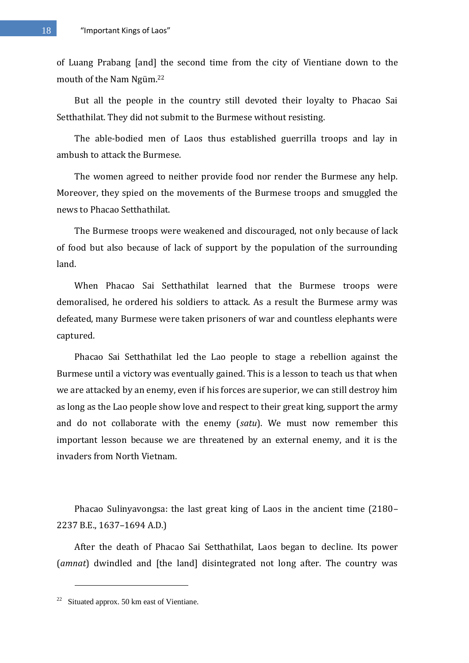of Luang Prabang [and] the second time from the city of Vientiane down to the mouth of the Nam Ngüm.<sup>22</sup>

But all the people in the country still devoted their loyalty to Phacao Sai Setthathilat. They did not submit to the Burmese without resisting.

The able-bodied men of Laos thus established guerrilla troops and lay in ambush to attack the Burmese.

The women agreed to neither provide food nor render the Burmese any help. Moreover, they spied on the movements of the Burmese troops and smuggled the news to Phacao Setthathilat.

The Burmese troops were weakened and discouraged, not only because of lack of food but also because of lack of support by the population of the surrounding land.

When Phacao Sai Setthathilat learned that the Burmese troops were demoralised, he ordered his soldiers to attack. As a result the Burmese army was defeated, many Burmese were taken prisoners of war and countless elephants were captured.

Phacao Sai Setthathilat led the Lao people to stage a rebellion against the Burmese until a victory was eventually gained. This is a lesson to teach us that when we are attacked by an enemy, even if his forces are superior, we can still destroy him as long as the Lao people show love and respect to their great king, support the army and do not collaborate with the enemy (*satu*). We must now remember this important lesson because we are threatened by an external enemy, and it is the invaders from North Vietnam.

Phacao Sulinyavongsa: the last great king of Laos in the ancient time (2180– 2237 B.E., 1637–1694 A.D.)

After the death of Phacao Sai Setthathilat, Laos began to decline. Its power (*amnat*) dwindled and [the land] disintegrated not long after. The country was

<sup>&</sup>lt;sup>22</sup> Situated approx. 50 km east of Vientiane.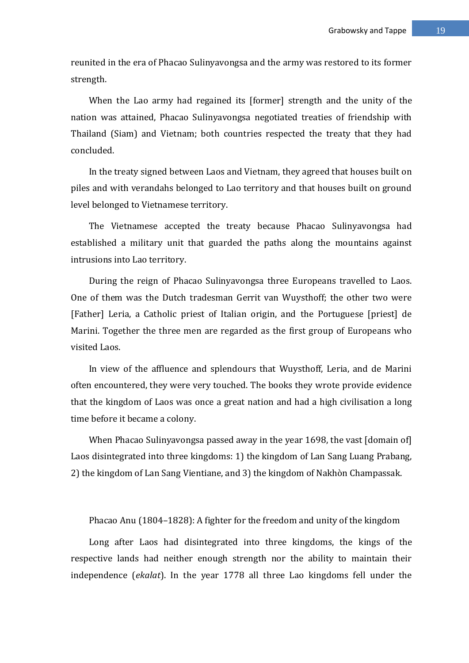reunited in the era of Phacao Sulinyavongsa and the army was restored to its former strength.

When the Lao army had regained its [former] strength and the unity of the nation was attained, Phacao Sulinyavongsa negotiated treaties of friendship with Thailand (Siam) and Vietnam; both countries respected the treaty that they had concluded.

In the treaty signed between Laos and Vietnam, they agreed that houses built on piles and with verandahs belonged to Lao territory and that houses built on ground level belonged to Vietnamese territory.

The Vietnamese accepted the treaty because Phacao Sulinyavongsa had established a military unit that guarded the paths along the mountains against intrusions into Lao territory.

During the reign of Phacao Sulinyavongsa three Europeans travelled to Laos. One of them was the Dutch tradesman Gerrit van Wuysthoff; the other two were [Father] Leria, a Catholic priest of Italian origin, and the Portuguese [priest] de Marini. Together the three men are regarded as the first group of Europeans who visited Laos.

In view of the affluence and splendours that Wuysthoff, Leria, and de Marini often encountered, they were very touched. The books they wrote provide evidence that the kingdom of Laos was once a great nation and had a high civilisation a long time before it became a colony.

When Phacao Sulinyavongsa passed away in the year 1698, the vast [domain of] Laos disintegrated into three kingdoms: 1) the kingdom of Lan Sang Luang Prabang, 2) the kingdom of Lan Sang Vientiane, and 3) the kingdom of Nakhòn Champassak.

Phacao Anu (1804–1828): A fighter for the freedom and unity of the kingdom

Long after Laos had disintegrated into three kingdoms, the kings of the respective lands had neither enough strength nor the ability to maintain their independence (*ekalat*). In the year 1778 all three Lao kingdoms fell under the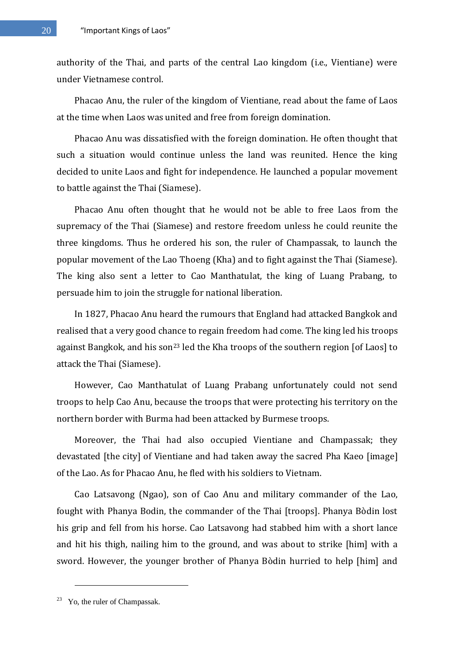authority of the Thai, and parts of the central Lao kingdom (i.e., Vientiane) were under Vietnamese control.

Phacao Anu, the ruler of the kingdom of Vientiane, read about the fame of Laos at the time when Laos was united and free from foreign domination.

Phacao Anu was dissatisfied with the foreign domination. He often thought that such a situation would continue unless the land was reunited. Hence the king decided to unite Laos and fight for independence. He launched a popular movement to battle against the Thai (Siamese).

Phacao Anu often thought that he would not be able to free Laos from the supremacy of the Thai (Siamese) and restore freedom unless he could reunite the three kingdoms. Thus he ordered his son, the ruler of Champassak, to launch the popular movement of the Lao Thoeng (Kha) and to fight against the Thai (Siamese). The king also sent a letter to Cao Manthatulat, the king of Luang Prabang, to persuade him to join the struggle for national liberation.

In 1827, Phacao Anu heard the rumours that England had attacked Bangkok and realised that a very good chance to regain freedom had come. The king led his troops against Bangkok, and his son<sup>23</sup> led the Kha troops of the southern region [of Laos] to attack the Thai (Siamese).

However, Cao Manthatulat of Luang Prabang unfortunately could not send troops to help Cao Anu, because the troops that were protecting his territory on the northern border with Burma had been attacked by Burmese troops.

Moreover, the Thai had also occupied Vientiane and Champassak; they devastated [the city] of Vientiane and had taken away the sacred Pha Kaeo [image] of the Lao. As for Phacao Anu, he fled with his soldiers to Vietnam.

Cao Latsavong (Ngao), son of Cao Anu and military commander of the Lao, fought with Phanya Bodin, the commander of the Thai [troops]. Phanya Bòdin lost his grip and fell from his horse. Cao Latsavong had stabbed him with a short lance and hit his thigh, nailing him to the ground, and was about to strike [him] with a sword. However, the younger brother of Phanya Bòdin hurried to help [him] and

<sup>&</sup>lt;sup>23</sup> Yo, the ruler of Champassak.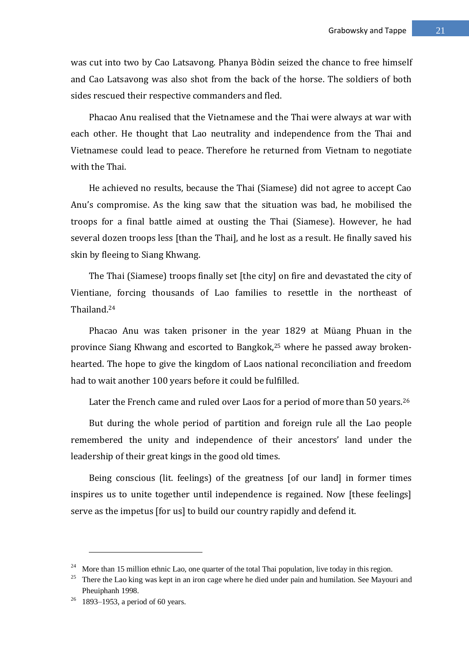was cut into two by Cao Latsavong. Phanya Bòdin seized the chance to free himself and Cao Latsavong was also shot from the back of the horse. The soldiers of both sides rescued their respective commanders and fled.

Phacao Anu realised that the Vietnamese and the Thai were always at war with each other. He thought that Lao neutrality and independence from the Thai and Vietnamese could lead to peace. Therefore he returned from Vietnam to negotiate with the Thai.

He achieved no results, because the Thai (Siamese) did not agree to accept Cao Anu's compromise. As the king saw that the situation was bad, he mobilised the troops for a final battle aimed at ousting the Thai (Siamese). However, he had several dozen troops less [than the Thai], and he lost as a result. He finally saved his skin by fleeing to Siang Khwang.

The Thai (Siamese) troops finally set [the city] on fire and devastated the city of Vientiane, forcing thousands of Lao families to resettle in the northeast of Thailand.<sup>24</sup>

Phacao Anu was taken prisoner in the year 1829 at Müang Phuan in the province Siang Khwang and escorted to Bangkok,<sup>25</sup> where he passed away brokenhearted. The hope to give the kingdom of Laos national reconciliation and freedom had to wait another 100 years before it could be fulfilled.

Later the French came and ruled over Laos for a period of more than 50 years.<sup>26</sup>

But during the whole period of partition and foreign rule all the Lao people remembered the unity and independence of their ancestors' land under the leadership of their great kings in the good old times.

Being conscious (lit. feelings) of the greatness [of our land] in former times inspires us to unite together until independence is regained. Now [these feelings] serve as the impetus [for us] to build our country rapidly and defend it.

<sup>&</sup>lt;sup>24</sup> More than 15 million ethnic Lao, one quarter of the total Thai population, live today in this region.

<sup>&</sup>lt;sup>25</sup> There the Lao king was kept in an iron cage where he died under pain and humilation. See Mayouri and Pheuiphanh 1998.

<sup>&</sup>lt;sup>26</sup> 1893–1953, a period of 60 years.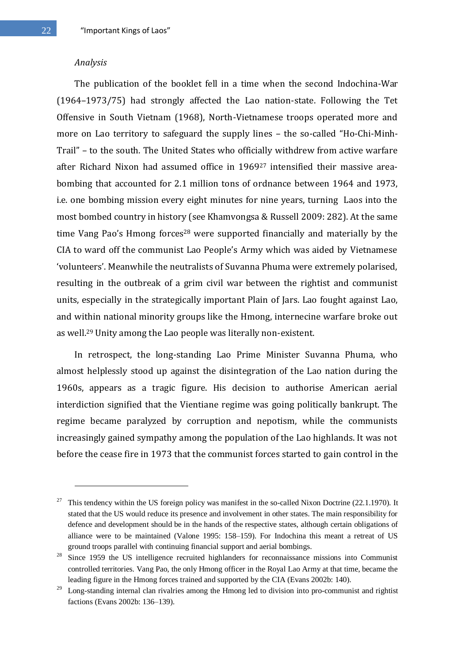#### *Analysis*

1

The publication of the booklet fell in a time when the second Indochina-War (1964–1973/75) had strongly affected the Lao nation-state. Following the Tet Offensive in South Vietnam (1968), North-Vietnamese troops operated more and more on Lao territory to safeguard the supply lines – the so-called "Ho-Chi-Minh-Trail" – to the south. The United States who officially withdrew from active warfare after Richard Nixon had assumed office in 1969<sup>27</sup> intensified their massive areabombing that accounted for 2.1 million tons of ordnance between 1964 and 1973, i.e. one bombing mission every eight minutes for nine years, turning Laos into the most bombed country in history (see Khamvongsa & Russell 2009: 282). At the same time Vang Pao's Hmong forces<sup>28</sup> were supported financially and materially by the CIA to ward off the communist Lao People's Army which was aided by Vietnamese 'volunteers'. Meanwhile the neutralists of Suvanna Phuma were extremely polarised, resulting in the outbreak of a grim civil war between the rightist and communist units, especially in the strategically important Plain of Jars. Lao fought against Lao, and within national minority groups like the Hmong, internecine warfare broke out as well.<sup>29</sup> Unity among the Lao people was literally non-existent.

In retrospect, the long-standing Lao Prime Minister Suvanna Phuma, who almost helplessly stood up against the disintegration of the Lao nation during the 1960s, appears as a tragic figure. His decision to authorise American aerial interdiction signified that the Vientiane regime was going politically bankrupt. The regime became paralyzed by corruption and nepotism, while the communists increasingly gained sympathy among the population of the Lao highlands. It was not before the cease fire in 1973 that the communist forces started to gain control in the

<sup>27</sup> This tendency within the US foreign policy was manifest in the so-called Nixon Doctrine (22.1.1970). It stated that the US would reduce its presence and involvement in other states. The main responsibility for defence and development should be in the hands of the respective states, although certain obligations of alliance were to be maintained (Valone 1995: 158–159). For Indochina this meant a retreat of US ground troops parallel with continuing financial support and aerial bombings.

<sup>&</sup>lt;sup>28</sup> Since 1959 the US intelligence recruited highlanders for reconnaissance missions into Communist controlled territories. Vang Pao, the only Hmong officer in the Royal Lao Army at that time, became the leading figure in the Hmong forces trained and supported by the CIA (Evans 2002b: 140).

<sup>&</sup>lt;sup>29</sup> Long-standing internal clan rivalries among the Hmong led to division into pro-communist and rightist factions (Evans 2002b: 136–139).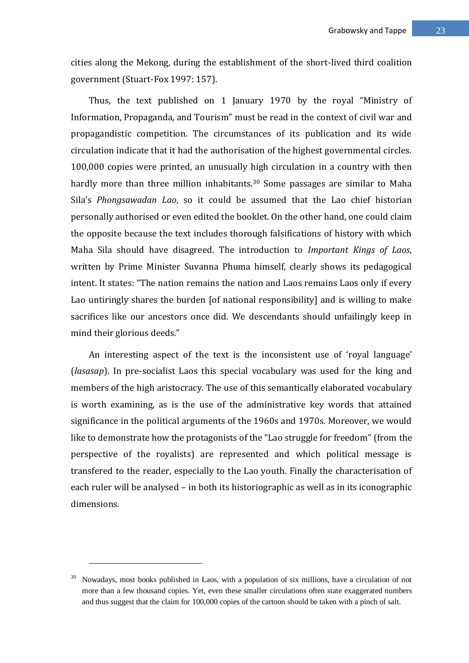cities along the Mekong, during the establishment of the short-lived third coalition government (Stuart-Fox 1997: 157).

Thus, the text published on 1 January 1970 by the royal "Ministry of Information, Propaganda, and Tourism" must be read in the context of civil war and propagandistic competition. The circumstances of its publication and its wide circulation indicate that it had the authorisation of the highest governmental circles. 100,000 copies were printed, an unusually high circulation in a country with then hardly more than three million inhabitants.<sup>30</sup> Some passages are similar to Maha Sila's *Phongsawadan Lao*, so it could be assumed that the Lao chief historian personally authorised or even edited the booklet. On the other hand, one could claim the opposite because the text includes thorough falsifications of history with which Maha Sila should have disagreed. The introduction to *Important Kings of Laos*, written by Prime Minister Suvanna Phuma himself, clearly shows its pedagogical intent. It states: "The nation remains the nation and Laos remains Laos only if every Lao untiringly shares the burden [of national responsibility] and is willing to make sacrifices like our ancestors once did. We descendants should unfailingly keep in mind their glorious deeds."

An interesting aspect of the text is the inconsistent use of 'royal language' (*lasasap*). In pre-socialist Laos this special vocabulary was used for the king and members of the high aristocracy. The use of this semantically elaborated vocabulary is worth examining, as is the use of the administrative key words that attained significance in the political arguments of the 1960s and 1970s. Moreover, we would like to demonstrate how the protagonists of the "Lao struggle for freedom" (from the perspective of the royalists) are represented and which political message is transfered to the reader, especially to the Lao youth. Finally the characterisation of each ruler will be analysed – in both its historiographic as well as in its iconographic dimensions.

<sup>&</sup>lt;sup>30</sup> Nowadays, most books published in Laos, with a population of six millions, have a circulation of not more than a few thousand copies. Yet, even these smaller circulations often state exaggerated numbers and thus suggest that the claim for 100,000 copies of the cartoon should be taken with a pinch of salt.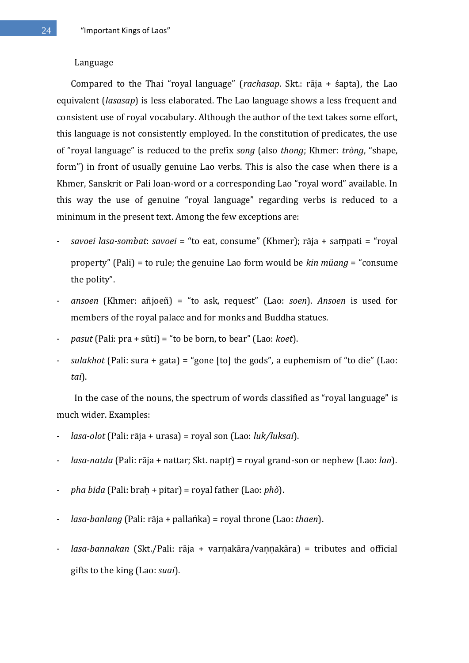#### Language

Compared to the Thai "royal language" (*rachasap*. Skt.: rāja + śapta), the Lao equivalent (*lasasap*) is less elaborated. The Lao language shows a less frequent and consistent use of royal vocabulary. Although the author of the text takes some effort, this language is not consistently employed. In the constitution of predicates, the use of "royal language" is reduced to the prefix *song* (also *thong*; Khmer: *tròng*, "shape, form") in front of usually genuine Lao verbs. This is also the case when there is a Khmer, Sanskrit or Pali loan-word or a corresponding Lao "royal word" available. In this way the use of genuine "royal language" regarding verbs is reduced to a minimum in the present text. Among the few exceptions are:

- *savoei lasa-sombat*: *savoei* = "to eat, consume" (Khmer); rāja + saṃpati = "royal property" (Pali) = to rule; the genuine Lao form would be *kin müang* = "consume the polity".
- *ansoen* (Khmer: añjoeñ) = "to ask, request" (Lao: *soen*). *Ansoen* is used for members of the royal palace and for monks and Buddha statues.
- *pasut* (Pali: pra + sūti) = "to be born, to bear" (Lao: *koet*).
- *sulakhot* (Pali: sura + gata) = "gone [to] the gods", a euphemism of "to die" (Lao: *tai*).

In the case of the nouns, the spectrum of words classified as "royal language" is much wider. Examples:

- *lasa-olot* (Pali: rāja + urasa) = royal son (Lao: *luk/luksai*).
- *lasa-natda* (Pali: rāja + nattar; Skt. naptṛ) = royal grand-son or nephew (Lao: *lan*).
- *pha bida* (Pali: braḥ + pitar) = royal father (Lao: *phò*).
- *lasa-banlang* (Pali: rāja + pallaṅka) = royal throne (Lao: *thaen*).
- *lasa-bannakan* (Skt./Pali: rāja + varṇakāra/vaṇṇakāra) = tributes and official gifts to the king (Lao: *suai*).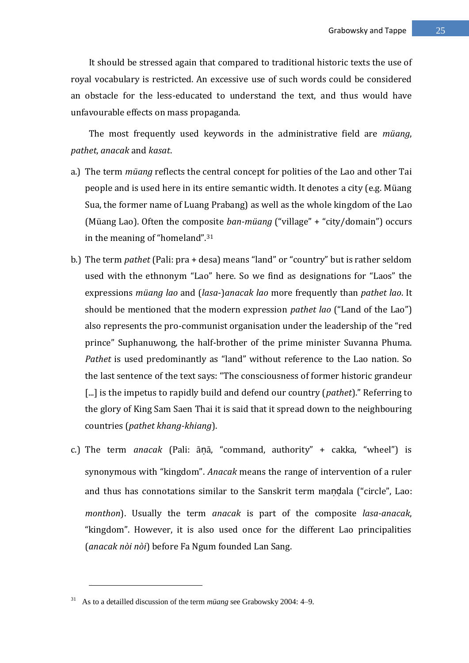It should be stressed again that compared to traditional historic texts the use of royal vocabulary is restricted. An excessive use of such words could be considered an obstacle for the less-educated to understand the text, and thus would have unfavourable effects on mass propaganda.

The most frequently used keywords in the administrative field are *müang*, *pathet*, *anacak* and *kasat*.

- a.) The term *müang* reflects the central concept for polities of the Lao and other Tai people and is used here in its entire semantic width. It denotes a city (e.g. Müang Sua, the former name of Luang Prabang) as well as the whole kingdom of the Lao (Müang Lao). Often the composite *ban-müang* ("village" + "city/domain") occurs in the meaning of "homeland".<sup>31</sup>
- b.) The term *pathet* (Pali: pra + desa) means "land" or "country" but is rather seldom used with the ethnonym "Lao" here. So we find as designations for "Laos" the expressions *müang lao* and (*lasa*-)*anacak lao* more frequently than *pathet lao*. It should be mentioned that the modern expression *pathet lao* ("Land of the Lao") also represents the pro-communist organisation under the leadership of the "red prince" Suphanuwong, the half-brother of the prime minister Suvanna Phuma. *Pathet* is used predominantly as "land" without reference to the Lao nation. So the last sentence of the text says: "The consciousness of former historic grandeur [...] is the impetus to rapidly build and defend our country (*pathet*)." Referring to the glory of King Sam Saen Thai it is said that it spread down to the neighbouring countries (*pathet khang-khiang*).
- c.) The term *anacak* (Pali: āṇā, "command, authority" + cakka, "wheel") is synonymous with "kingdom". *Anacak* means the range of intervention of a ruler and thus has connotations similar to the Sanskrit term mandala ("circle", Lao: *monthon*). Usually the term *anacak* is part of the composite *lasa-anacak*, "kingdom". However, it is also used once for the different Lao principalities (*anacak nòi nòi*) before Fa Ngum founded Lan Sang.

<sup>31</sup> As to a detailled discussion of the term *müang* see Grabowsky 2004: 4–9.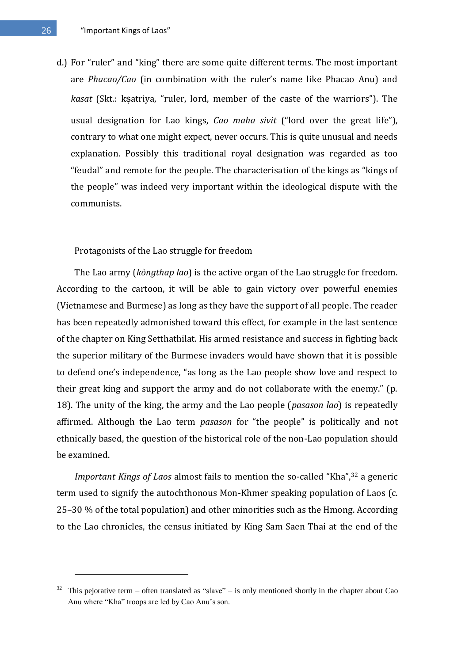d.) For "ruler" and "king" there are some quite different terms. The most important are *Phacao/Cao* (in combination with the ruler's name like Phacao Anu) and *kasat* (Skt.: ksatriya, "ruler, lord, member of the caste of the warriors"). The usual designation for Lao kings, *Cao maha sivit* ("lord over the great life"), contrary to what one might expect, never occurs. This is quite unusual and needs explanation. Possibly this traditional royal designation was regarded as too "feudal" and remote for the people. The characterisation of the kings as "kings of the people" was indeed very important within the ideological dispute with the communists.

Protagonists of the Lao struggle for freedom

The Lao army (*kòngthap lao*) is the active organ of the Lao struggle for freedom. According to the cartoon, it will be able to gain victory over powerful enemies (Vietnamese and Burmese) as long as they have the support of all people. The reader has been repeatedly admonished toward this effect, for example in the last sentence of the chapter on King Setthathilat. His armed resistance and success in fighting back the superior military of the Burmese invaders would have shown that it is possible to defend one's independence, "as long as the Lao people show love and respect to their great king and support the army and do not collaborate with the enemy." (p. 18). The unity of the king, the army and the Lao people (*pasason lao*) is repeatedly affirmed. Although the Lao term *pasason* for "the people" is politically and not ethnically based, the question of the historical role of the non-Lao population should be examined.

*Important Kings of Laos* almost fails to mention the so-called "Kha",<sup>32</sup> a generic term used to signify the autochthonous Mon-Khmer speaking population of Laos (c. 25–30 % of the total population) and other minorities such as the Hmong. According to the Lao chronicles, the census initiated by King Sam Saen Thai at the end of the

This pejorative term – often translated as "slave" – is only mentioned shortly in the chapter about Cao Anu where "Kha" troops are led by Cao Anu's son.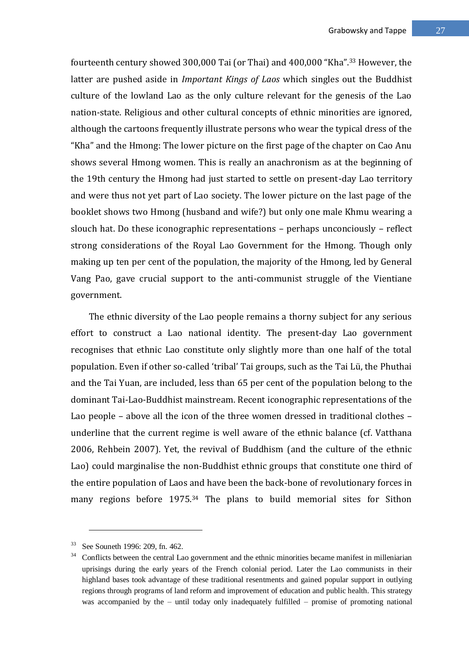fourteenth century showed 300,000 Tai (or Thai) and 400,000 "Kha".<sup>33</sup> However, the latter are pushed aside in *Important Kings of Laos* which singles out the Buddhist culture of the lowland Lao as the only culture relevant for the genesis of the Lao nation-state. Religious and other cultural concepts of ethnic minorities are ignored, although the cartoons frequently illustrate persons who wear the typical dress of the "Kha" and the Hmong: The lower picture on the first page of the chapter on Cao Anu shows several Hmong women. This is really an anachronism as at the beginning of the 19th century the Hmong had just started to settle on present-day Lao territory and were thus not yet part of Lao society. The lower picture on the last page of the booklet shows two Hmong (husband and wife?) but only one male Khmu wearing a slouch hat. Do these iconographic representations – perhaps unconciously – reflect strong considerations of the Royal Lao Government for the Hmong. Though only making up ten per cent of the population, the majority of the Hmong, led by General Vang Pao, gave crucial support to the anti-communist struggle of the Vientiane government.

The ethnic diversity of the Lao people remains a thorny subject for any serious effort to construct a Lao national identity. The present-day Lao government recognises that ethnic Lao constitute only slightly more than one half of the total population. Even if other so-called 'tribal' Tai groups, such as the Tai Lü, the Phuthai and the Tai Yuan, are included, less than 65 per cent of the population belong to the dominant Tai-Lao-Buddhist mainstream. Recent iconographic representations of the Lao people – above all the icon of the three women dressed in traditional clothes – underline that the current regime is well aware of the ethnic balance (cf. Vatthana 2006, Rehbein 2007). Yet, the revival of Buddhism (and the culture of the ethnic Lao) could marginalise the non-Buddhist ethnic groups that constitute one third of the entire population of Laos and have been the back-bone of revolutionary forces in many regions before 1975.<sup>34</sup> The plans to build memorial sites for Sithon

<u>.</u>

See Souneth 1996: 209, fn. 462.

<sup>&</sup>lt;sup>34</sup> Conflicts between the central Lao government and the ethnic minorities became manifest in milleniarian uprisings during the early years of the French colonial period. Later the Lao communists in their highland bases took advantage of these traditional resentments and gained popular support in outlying regions through programs of land reform and improvement of education and public health. This strategy was accompanied by the – until today only inadequately fulfilled – promise of promoting national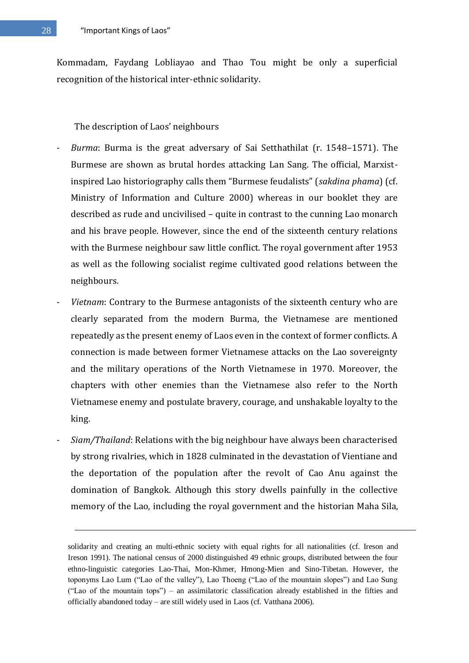Kommadam, Faydang Lobliayao and Thao Tou might be only a superficial recognition of the historical inter-ethnic solidarity.

The description of Laos' neighbours

- *Burma*: Burma is the great adversary of Sai Setthathilat (r. 1548–1571). The Burmese are shown as brutal hordes attacking Lan Sang. The official, Marxistinspired Lao historiography calls them "Burmese feudalists" (*sakdina phama*) (cf. Ministry of Information and Culture 2000) whereas in our booklet they are described as rude and uncivilised – quite in contrast to the cunning Lao monarch and his brave people. However, since the end of the sixteenth century relations with the Burmese neighbour saw little conflict. The royal government after 1953 as well as the following socialist regime cultivated good relations between the neighbours.
- *Vietnam*: Contrary to the Burmese antagonists of the sixteenth century who are clearly separated from the modern Burma, the Vietnamese are mentioned repeatedly as the present enemy of Laos even in the context of former conflicts. A connection is made between former Vietnamese attacks on the Lao sovereignty and the military operations of the North Vietnamese in 1970. Moreover, the chapters with other enemies than the Vietnamese also refer to the North Vietnamese enemy and postulate bravery, courage, and unshakable loyalty to the king.
- *Siam/Thailand*: Relations with the big neighbour have always been characterised by strong rivalries, which in 1828 culminated in the devastation of Vientiane and the deportation of the population after the revolt of Cao Anu against the domination of Bangkok. Although this story dwells painfully in the collective memory of the Lao, including the royal government and the historian Maha Sila,

<u>.</u>

solidarity and creating an multi-ethnic society with equal rights for all nationalities (cf. Ireson and Ireson 1991). The national census of 2000 distinguished 49 ethnic groups, distributed between the four ethno-linguistic categories Lao-Thai, Mon-Khmer, Hmong-Mien and Sino-Tibetan. However, the toponyms Lao Lum ("Lao of the valley"), Lao Thoeng ("Lao of the mountain slopes") and Lao Sung ("Lao of the mountain tops") – an assimilatoric classification already established in the fifties and officially abandoned today – are still widely used in Laos (cf. Vatthana 2006).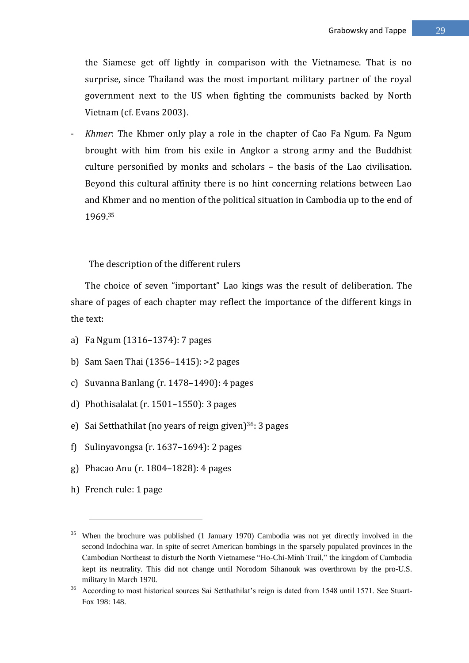the Siamese get off lightly in comparison with the Vietnamese. That is no surprise, since Thailand was the most important military partner of the royal government next to the US when fighting the communists backed by North Vietnam (cf. Evans 2003).

- *Khmer*: The Khmer only play a role in the chapter of Cao Fa Ngum. Fa Ngum brought with him from his exile in Angkor a strong army and the Buddhist culture personified by monks and scholars – the basis of the Lao civilisation. Beyond this cultural affinity there is no hint concerning relations between Lao and Khmer and no mention of the political situation in Cambodia up to the end of 1969.<sup>35</sup>

The description of the different rulers

The choice of seven "important" Lao kings was the result of deliberation. The share of pages of each chapter may reflect the importance of the different kings in the text:

- a) Fa Ngum (1316–1374): 7 pages
- b) Sam Saen Thai (1356–1415): >2 pages
- c) Suvanna Banlang (r. 1478–1490): 4 pages
- d) Phothisalalat (r. 1501–1550): 3 pages
- e) Sai Setthathilat (no years of reign given)<sup>36</sup>: 3 pages
- f) Sulinyavongsa (r. 1637–1694): 2 pages
- g) Phacao Anu (r. 1804–1828): 4 pages
- h) French rule: 1 page

<sup>&</sup>lt;sup>35</sup> When the brochure was published (1 January 1970) Cambodia was not yet directly involved in the second Indochina war. In spite of secret American bombings in the sparsely populated provinces in the Cambodian Northeast to disturb the North Vietnamese "Ho-Chi-Minh Trail," the kingdom of Cambodia kept its neutrality. This did not change until Norodom Sihanouk was overthrown by the pro-U.S. military in March 1970.

<sup>&</sup>lt;sup>36</sup> According to most historical sources Sai Setthathilat's reign is dated from 1548 until 1571. See Stuart-Fox 198: 148.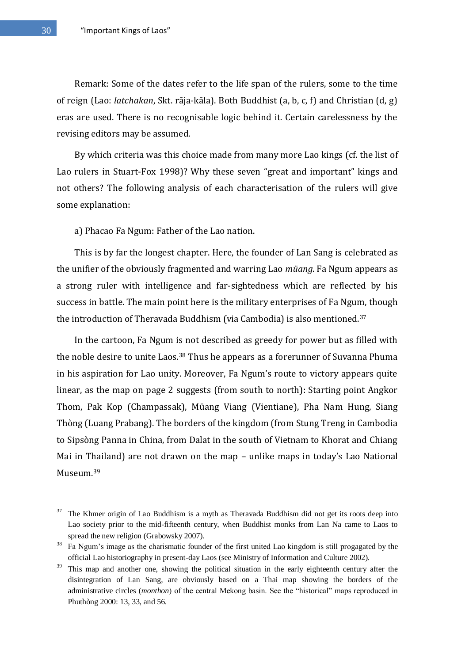Remark: Some of the dates refer to the life span of the rulers, some to the time of reign (Lao: *latchakan*, Skt. rāja-kāla). Both Buddhist (a, b, c, f) and Christian (d, g) eras are used. There is no recognisable logic behind it. Certain carelessness by the revising editors may be assumed.

By which criteria was this choice made from many more Lao kings (cf. the list of Lao rulers in Stuart-Fox 1998)? Why these seven "great and important" kings and not others? The following analysis of each characterisation of the rulers will give some explanation:

a) Phacao Fa Ngum: Father of the Lao nation.

This is by far the longest chapter. Here, the founder of Lan Sang is celebrated as the unifier of the obviously fragmented and warring Lao *müang*. Fa Ngum appears as a strong ruler with intelligence and far-sightedness which are reflected by his success in battle. The main point here is the military enterprises of Fa Ngum, though the introduction of Theravada Buddhism (via Cambodia) is also mentioned.<sup>37</sup>

In the cartoon, Fa Ngum is not described as greedy for power but as filled with the noble desire to unite Laos.<sup>38</sup> Thus he appears as a forerunner of Suvanna Phuma in his aspiration for Lao unity. Moreover, Fa Ngum's route to victory appears quite linear, as the map on page 2 suggests (from south to north): Starting point Angkor Thom, Pak Kop (Champassak), Müang Viang (Vientiane), Pha Nam Hung, Siang Thòng (Luang Prabang). The borders of the kingdom (from Stung Treng in Cambodia to Sipsòng Panna in China, from Dalat in the south of Vietnam to Khorat and Chiang Mai in Thailand) are not drawn on the map – unlike maps in today's Lao National Museum.<sup>39</sup>

<u>.</u>

<sup>&</sup>lt;sup>37</sup> The Khmer origin of Lao Buddhism is a myth as Theravada Buddhism did not get its roots deep into Lao society prior to the mid-fifteenth century, when Buddhist monks from Lan Na came to Laos to spread the new religion (Grabowsky 2007).

<sup>&</sup>lt;sup>38</sup> Fa Ngum's image as the charismatic founder of the first united Lao kingdom is still progagated by the official Lao historiography in present-day Laos (see Ministry of Information and Culture 2002).

<sup>&</sup>lt;sup>39</sup> This map and another one, showing the political situation in the early eighteenth century after the disintegration of Lan Sang, are obviously based on a Thai map showing the borders of the administrative circles (*monthon*) of the central Mekong basin. See the "historical" maps reproduced in Phuthòng 2000: 13, 33, and 56.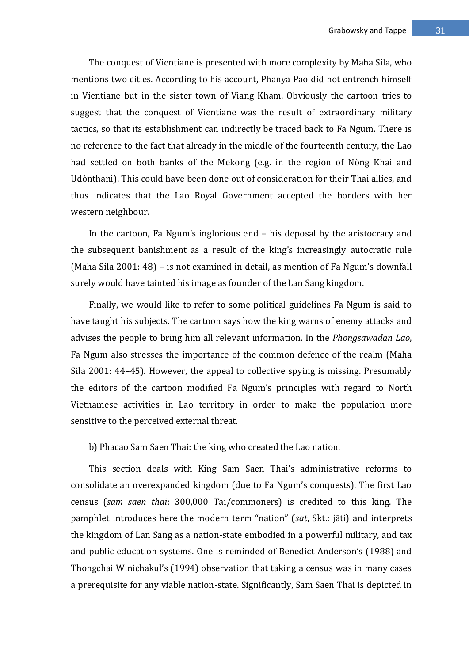The conquest of Vientiane is presented with more complexity by Maha Sila, who mentions two cities. According to his account, Phanya Pao did not entrench himself in Vientiane but in the sister town of Viang Kham. Obviously the cartoon tries to suggest that the conquest of Vientiane was the result of extraordinary military tactics, so that its establishment can indirectly be traced back to Fa Ngum. There is no reference to the fact that already in the middle of the fourteenth century, the Lao had settled on both banks of the Mekong (e.g. in the region of Nòng Khai and Udònthani). This could have been done out of consideration for their Thai allies, and thus indicates that the Lao Royal Government accepted the borders with her western neighbour.

In the cartoon, Fa Ngum's inglorious end – his deposal by the aristocracy and the subsequent banishment as a result of the king's increasingly autocratic rule (Maha Sila 2001: 48) – is not examined in detail, as mention of Fa Ngum's downfall surely would have tainted his image as founder of the Lan Sang kingdom.

Finally, we would like to refer to some political guidelines Fa Ngum is said to have taught his subjects. The cartoon says how the king warns of enemy attacks and advises the people to bring him all relevant information. In the *Phongsawadan Lao*, Fa Ngum also stresses the importance of the common defence of the realm (Maha Sila 2001: 44–45). However, the appeal to collective spying is missing. Presumably the editors of the cartoon modified Fa Ngum's principles with regard to North Vietnamese activities in Lao territory in order to make the population more sensitive to the perceived external threat.

b) Phacao Sam Saen Thai: the king who created the Lao nation.

This section deals with King Sam Saen Thai's administrative reforms to consolidate an overexpanded kingdom (due to Fa Ngum's conquests). The first Lao census (*sam saen thai*: 300,000 Tai/commoners) is credited to this king. The pamphlet introduces here the modern term "nation" (*sat*, Skt.: jāti) and interprets the kingdom of Lan Sang as a nation-state embodied in a powerful military, and tax and public education systems. One is reminded of Benedict Anderson's (1988) and Thongchai Winichakul's (1994) observation that taking a census was in many cases a prerequisite for any viable nation-state. Significantly, Sam Saen Thai is depicted in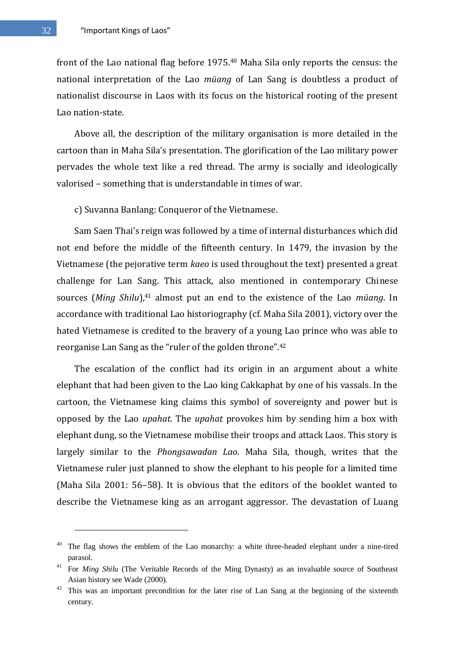front of the Lao national flag before 1975.<sup>40</sup> Maha Sila only reports the census: the national interpretation of the Lao *müang* of Lan Sang is doubtless a product of nationalist discourse in Laos with its focus on the historical rooting of the present Lao nation-state.

Above all, the description of the military organisation is more detailed in the cartoon than in Maha Sila's presentation. The glorification of the Lao military power pervades the whole text like a red thread. The army is socially and ideologically valorised – something that is understandable in times of war.

c) Suvanna Banlang: Conqueror of the Vietnamese.

Sam Saen Thai's reign was followed by a time of internal disturbances which did not end before the middle of the fifteenth century. In 1479, the invasion by the Vietnamese (the pejorative term *kaeo* is used throughout the text) presented a great challenge for Lan Sang. This attack, also mentioned in contemporary Chinese sources (*Ming Shilu*),<sup>41</sup> almost put an end to the existence of the Lao *müang*. In accordance with traditional Lao historiography (cf. Maha Sila 2001), victory over the hated Vietnamese is credited to the bravery of a young Lao prince who was able to reorganise Lan Sang as the "ruler of the golden throne".<sup>42</sup>

The escalation of the conflict had its origin in an argument about a white elephant that had been given to the Lao king Cakkaphat by one of his vassals. In the cartoon, the Vietnamese king claims this symbol of sovereignty and power but is opposed by the Lao *upahat*. The *upahat* provokes him by sending him a box with elephant dung, so the Vietnamese mobilise their troops and attack Laos. This story is largely similar to the *Phongsawadan Lao*. Maha Sila, though, writes that the Vietnamese ruler just planned to show the elephant to his people for a limited time (Maha Sila 2001: 56–58). It is obvious that the editors of the booklet wanted to describe the Vietnamese king as an arrogant aggressor. The devastation of Luang

<u>.</u>

<sup>&</sup>lt;sup>40</sup> The flag shows the emblem of the Lao monarchy: a white three-headed elephant under a nine-tired parasol.

<sup>&</sup>lt;sup>41</sup> For *Ming Shilu* (The Veritable Records of the Ming Dynasty) as an invaluable source of Southeast Asian history see Wade (2000).

This was an important precondition for the later rise of Lan Sang at the beginning of the sixteenth century.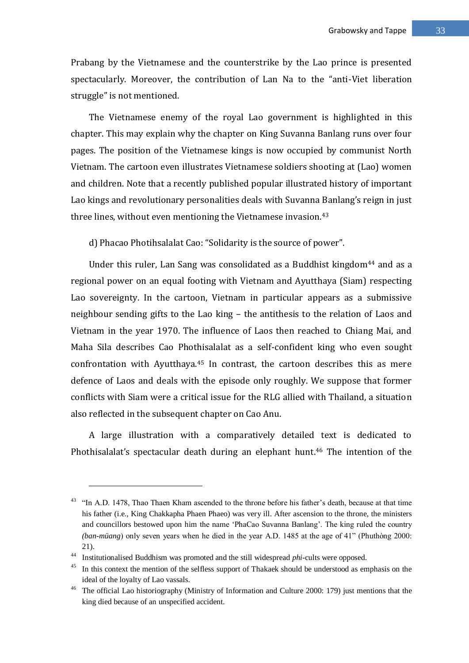Prabang by the Vietnamese and the counterstrike by the Lao prince is presented spectacularly. Moreover, the contribution of Lan Na to the "anti-Viet liberation struggle" is not mentioned.

The Vietnamese enemy of the royal Lao government is highlighted in this chapter. This may explain why the chapter on King Suvanna Banlang runs over four pages. The position of the Vietnamese kings is now occupied by communist North Vietnam. The cartoon even illustrates Vietnamese soldiers shooting at (Lao) women and children. Note that a recently published popular illustrated history of important Lao kings and revolutionary personalities deals with Suvanna Banlang's reign in just three lines, without even mentioning the Vietnamese invasion.<sup>43</sup>

d) Phacao Photihsalalat Cao: "Solidarity is the source of power".

Under this ruler, Lan Sang was consolidated as a Buddhist kingdom<sup>44</sup> and as a regional power on an equal footing with Vietnam and Ayutthaya (Siam) respecting Lao sovereignty. In the cartoon, Vietnam in particular appears as a submissive neighbour sending gifts to the Lao king – the antithesis to the relation of Laos and Vietnam in the year 1970. The influence of Laos then reached to Chiang Mai, and Maha Sila describes Cao Phothisalalat as a self-confident king who even sought confrontation with Ayutthaya.<sup>45</sup> In contrast, the cartoon describes this as mere defence of Laos and deals with the episode only roughly. We suppose that former conflicts with Siam were a critical issue for the RLG allied with Thailand, a situation also reflected in the subsequent chapter on Cao Anu.

A large illustration with a comparatively detailed text is dedicated to Phothisalalat's spectacular death during an elephant hunt.<sup>46</sup> The intention of the

<sup>&</sup>quot;In A.D. 1478, Thao Thaen Kham ascended to the throne before his father's death, because at that time his father (i.e., King Chakkapha Phaen Phaeo) was very ill. After ascension to the throne, the ministers and councillors bestowed upon him the name 'PhaCao Suvanna Banlang'. The king ruled the country *(ban-müang)* only seven years when he died in the year A.D. 1485 at the age of 41<sup>n</sup> (Phuthòng 2000: 21).

<sup>44</sup> Institutionalised Buddhism was promoted and the still widespread *phi*-cults were opposed.

<sup>&</sup>lt;sup>45</sup> In this context the mention of the selfless support of Thakaek should be understood as emphasis on the ideal of the loyalty of Lao vassals.

<sup>&</sup>lt;sup>46</sup> The official Lao historiography (Ministry of Information and Culture 2000: 179) just mentions that the king died because of an unspecified accident.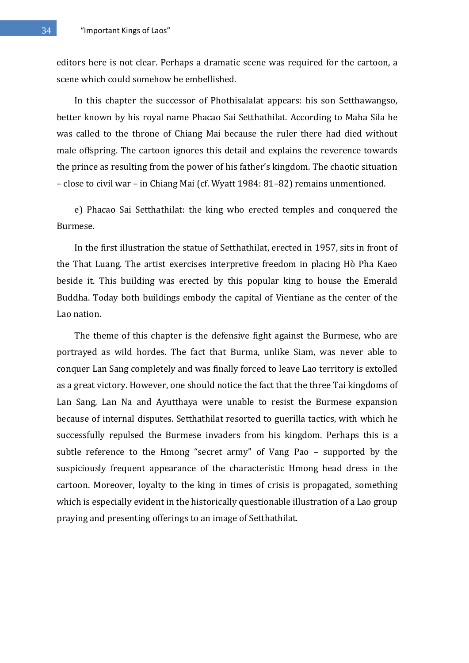editors here is not clear. Perhaps a dramatic scene was required for the cartoon, a scene which could somehow be embellished.

In this chapter the successor of Phothisalalat appears: his son Setthawangso, better known by his royal name Phacao Sai Setthathilat. According to Maha Sila he was called to the throne of Chiang Mai because the ruler there had died without male offspring. The cartoon ignores this detail and explains the reverence towards the prince as resulting from the power of his father's kingdom. The chaotic situation – close to civil war – in Chiang Mai (cf. Wyatt 1984: 81–82) remains unmentioned.

e) Phacao Sai Setthathilat: the king who erected temples and conquered the Burmese.

In the first illustration the statue of Setthathilat, erected in 1957, sits in front of the That Luang. The artist exercises interpretive freedom in placing Hò Pha Kaeo beside it. This building was erected by this popular king to house the Emerald Buddha. Today both buildings embody the capital of Vientiane as the center of the Lao nation.

The theme of this chapter is the defensive fight against the Burmese, who are portrayed as wild hordes. The fact that Burma, unlike Siam, was never able to conquer Lan Sang completely and was finally forced to leave Lao territory is extolled as a great victory. However, one should notice the fact that the three Tai kingdoms of Lan Sang, Lan Na and Ayutthaya were unable to resist the Burmese expansion because of internal disputes. Setthathilat resorted to guerilla tactics, with which he successfully repulsed the Burmese invaders from his kingdom. Perhaps this is a subtle reference to the Hmong "secret army" of Vang Pao – supported by the suspiciously frequent appearance of the characteristic Hmong head dress in the cartoon. Moreover, loyalty to the king in times of crisis is propagated, something which is especially evident in the historically questionable illustration of a Lao group praying and presenting offerings to an image of Setthathilat.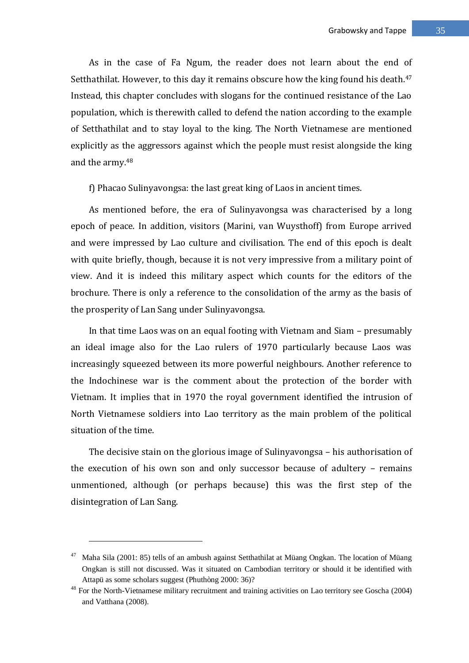As in the case of Fa Ngum, the reader does not learn about the end of Setthathilat. However, to this day it remains obscure how the king found his death.<sup>47</sup> Instead, this chapter concludes with slogans for the continued resistance of the Lao population, which is therewith called to defend the nation according to the example of Setthathilat and to stay loyal to the king. The North Vietnamese are mentioned explicitly as the aggressors against which the people must resist alongside the king and the army.<sup>48</sup>

f) Phacao Sulinyavongsa: the last great king of Laos in ancient times.

As mentioned before, the era of Sulinyavongsa was characterised by a long epoch of peace. In addition, visitors (Marini, van Wuysthoff) from Europe arrived and were impressed by Lao culture and civilisation. The end of this epoch is dealt with quite briefly, though, because it is not very impressive from a military point of view. And it is indeed this military aspect which counts for the editors of the brochure. There is only a reference to the consolidation of the army as the basis of the prosperity of Lan Sang under Sulinyavongsa.

In that time Laos was on an equal footing with Vietnam and Siam – presumably an ideal image also for the Lao rulers of 1970 particularly because Laos was increasingly squeezed between its more powerful neighbours. Another reference to the Indochinese war is the comment about the protection of the border with Vietnam. It implies that in 1970 the royal government identified the intrusion of North Vietnamese soldiers into Lao territory as the main problem of the political situation of the time.

The decisive stain on the glorious image of Sulinyavongsa – his authorisation of the execution of his own son and only successor because of adultery – remains unmentioned, although (or perhaps because) this was the first step of the disintegration of Lan Sang.

<sup>47</sup> Maha Sila (2001: 85) tells of an ambush against Setthathilat at Müang Ongkan. The location of Müang Ongkan is still not discussed. Was it situated on Cambodian territory or should it be identified with Attapü as some scholars suggest (Phuthòng 2000: 36)?

<sup>&</sup>lt;sup>48</sup> For the North-Vietnamese military recruitment and training activities on Lao territory see Goscha (2004) and Vatthana (2008).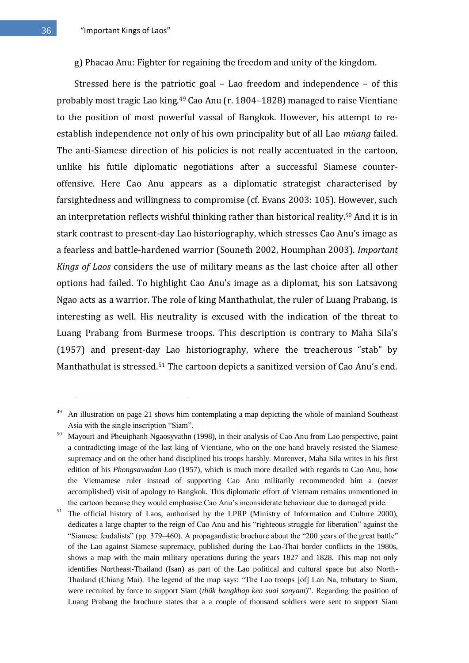g) Phacao Anu: Fighter for regaining the freedom and unity of the kingdom.

Stressed here is the patriotic goal – Lao freedom and independence – of this probably most tragic Lao king.<sup>49</sup> Cao Anu (r. 1804–1828) managed to raise Vientiane to the position of most powerful vassal of Bangkok. However, his attempt to reestablish independence not only of his own principality but of all Lao *müang* failed. The anti-Siamese direction of his policies is not really accentuated in the cartoon, unlike his futile diplomatic negotiations after a successful Siamese counteroffensive. Here Cao Anu appears as a diplomatic strategist characterised by farsightedness and willingness to compromise (cf. Evans 2003: 105). However, such an interpretation reflects wishful thinking rather than historical reality.<sup>50</sup> And it is in stark contrast to present-day Lao historiography, which stresses Cao Anu's image as a fearless and battle-hardened warrior (Souneth 2002, Houmphan 2003). *Important Kings of Laos* considers the use of military means as the last choice after all other options had failed. To highlight Cao Anu's image as a diplomat, his son Latsavong Ngao acts as a warrior. The role of king Manthathulat, the ruler of Luang Prabang, is interesting as well. His neutrality is excused with the indication of the threat to Luang Prabang from Burmese troops. This description is contrary to Maha Sila's (1957) and present-day Lao historiography, where the treacherous "stab" by Manthathulat is stressed.<sup>51</sup> The cartoon depicts a sanitized version of Cao Anu's end.

<u>.</u>

An illustration on page 21 shows him contemplating a map depicting the whole of mainland Southeast Asia with the single inscription "Siam".

<sup>&</sup>lt;sup>50</sup> Mayouri and Pheuiphanh Ngaosyvathn (1998), in their analysis of Cao Anu from Lao perspective, paint a contradicting image of the last king of Vientiane, who on the one hand bravely resisted the Siamese supremacy and on the other hand disciplined his troops harshly. Moreover, Maha Sila writes in his first edition of his *Phongsawadan Lao* (1957), which is much more detailed with regards to Cao Anu, how the Vietnamese ruler instead of supporting Cao Anu militarily recommended him a (never accomplished) visit of apology to Bangkok. This diplomatic effort of Vietnam remains unmentioned in the cartoon because they would emphasise Cao Anu's inconsiderate behaviour due to damaged pride.

<sup>&</sup>lt;sup>51</sup> The official history of Laos, authorised by the LPRP (Ministry of Information and Culture 2000), dedicates a large chapter to the reign of Cao Anu and his "righteous struggle for liberation" against the "Siamese feudalists" (pp. 379–460). A propagandistic brochure about the "200 years of the great battle" of the Lao against Siamese supremacy, published during the Lao-Thai border conflicts in the 1980s, shows a map with the main military operations during the years 1827 and 1828. This map not only identifies Northeast-Thailand (Isan) as part of the Lao political and cultural space but also North-Thailand (Chiang Mai). The legend of the map says: "The Lao troops [of] Lan Na, tributary to Siam, were recruited by force to support Siam (*thük bangkhap ken suai sanyam*)". Regarding the position of Luang Prabang the brochure states that a a couple of thousand soldiers were sent to support Siam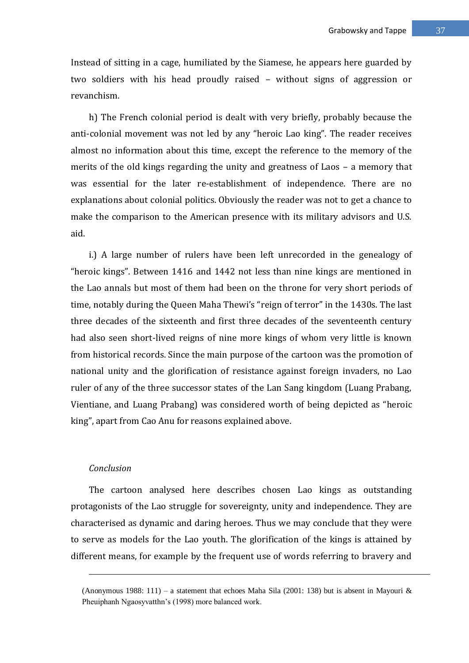Instead of sitting in a cage, humiliated by the Siamese, he appears here guarded by two soldiers with his head proudly raised – without signs of aggression or revanchism.

h) The French colonial period is dealt with very briefly, probably because the anti-colonial movement was not led by any "heroic Lao king". The reader receives almost no information about this time, except the reference to the memory of the merits of the old kings regarding the unity and greatness of Laos – a memory that was essential for the later re-establishment of independence. There are no explanations about colonial politics. Obviously the reader was not to get a chance to make the comparison to the American presence with its military advisors and U.S. aid.

i.) A large number of rulers have been left unrecorded in the genealogy of "heroic kings". Between 1416 and 1442 not less than nine kings are mentioned in the Lao annals but most of them had been on the throne for very short periods of time, notably during the Queen Maha Thewi's "reign of terror" in the 1430s. The last three decades of the sixteenth and first three decades of the seventeenth century had also seen short-lived reigns of nine more kings of whom very little is known from historical records. Since the main purpose of the cartoon was the promotion of national unity and the glorification of resistance against foreign invaders, no Lao ruler of any of the three successor states of the Lan Sang kingdom (Luang Prabang, Vientiane, and Luang Prabang) was considered worth of being depicted as "heroic king", apart from Cao Anu for reasons explained above.

### *Conclusion*

1

The cartoon analysed here describes chosen Lao kings as outstanding protagonists of the Lao struggle for sovereignty, unity and independence. They are characterised as dynamic and daring heroes. Thus we may conclude that they were to serve as models for the Lao youth. The glorification of the kings is attained by different means, for example by the frequent use of words referring to bravery and

<sup>(</sup>Anonymous 1988: 111) – a statement that echoes Maha Sila (2001: 138) but is absent in Mayouri  $\&$ Pheuiphanh Ngaosyvatthn's (1998) more balanced work.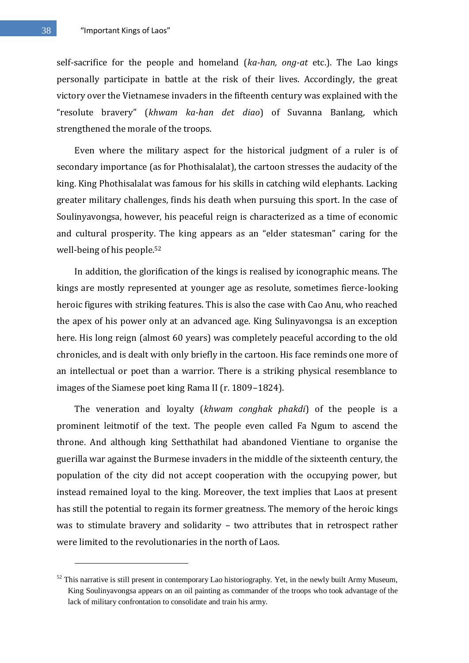self-sacrifice for the people and homeland (*ka-han, ong-at* etc.). The Lao kings personally participate in battle at the risk of their lives. Accordingly, the great victory over the Vietnamese invaders in the fifteenth century was explained with the "resolute bravery" (*khwam ka-han det diao*) of Suvanna Banlang, which strengthened the morale of the troops.

Even where the military aspect for the historical judgment of a ruler is of secondary importance (as for Phothisalalat), the cartoon stresses the audacity of the king. King Phothisalalat was famous for his skills in catching wild elephants. Lacking greater military challenges, finds his death when pursuing this sport. In the case of Soulinyavongsa, however, his peaceful reign is characterized as a time of economic and cultural prosperity. The king appears as an "elder statesman" caring for the well-being of his people.<sup>52</sup>

In addition, the glorification of the kings is realised by iconographic means. The kings are mostly represented at younger age as resolute, sometimes fierce-looking heroic figures with striking features. This is also the case with Cao Anu, who reached the apex of his power only at an advanced age. King Sulinyavongsa is an exception here. His long reign (almost 60 years) was completely peaceful according to the old chronicles, and is dealt with only briefly in the cartoon. His face reminds one more of an intellectual or poet than a warrior. There is a striking physical resemblance to images of the Siamese poet king Rama II (r. 1809–1824).

The veneration and loyalty (*khwam conghak phakdi*) of the people is a prominent leitmotif of the text. The people even called Fa Ngum to ascend the throne. And although king Setthathilat had abandoned Vientiane to organise the guerilla war against the Burmese invaders in the middle of the sixteenth century, the population of the city did not accept cooperation with the occupying power, but instead remained loyal to the king. Moreover, the text implies that Laos at present has still the potential to regain its former greatness. The memory of the heroic kings was to stimulate bravery and solidarity – two attributes that in retrospect rather were limited to the revolutionaries in the north of Laos.

 $52$  This narrative is still present in contemporary Lao historiography. Yet, in the newly built Army Museum, King Soulinyavongsa appears on an oil painting as commander of the troops who took advantage of the lack of military confrontation to consolidate and train his army.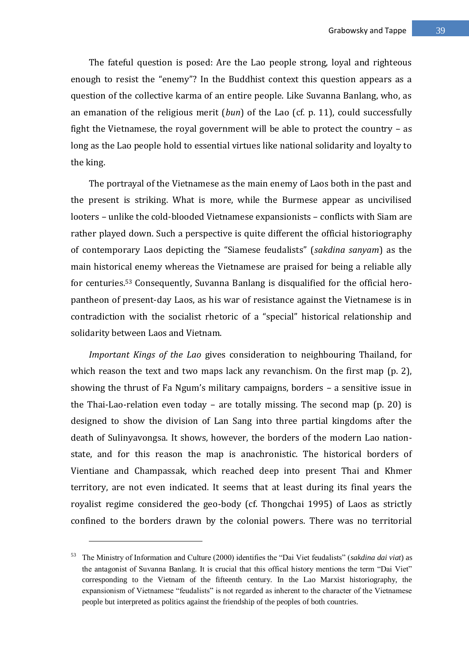The fateful question is posed: Are the Lao people strong, loyal and righteous enough to resist the "enemy"? In the Buddhist context this question appears as a question of the collective karma of an entire people. Like Suvanna Banlang, who, as an emanation of the religious merit (*bun*) of the Lao (cf. p. 11), could successfully fight the Vietnamese, the royal government will be able to protect the country – as long as the Lao people hold to essential virtues like national solidarity and loyalty to the king.

The portrayal of the Vietnamese as the main enemy of Laos both in the past and the present is striking. What is more, while the Burmese appear as uncivilised looters – unlike the cold-blooded Vietnamese expansionists – conflicts with Siam are rather played down. Such a perspective is quite different the official historiography of contemporary Laos depicting the "Siamese feudalists" (*sakdina sanyam*) as the main historical enemy whereas the Vietnamese are praised for being a reliable ally for centuries.<sup>53</sup> Consequently, Suvanna Banlang is disqualified for the official heropantheon of present-day Laos, as his war of resistance against the Vietnamese is in contradiction with the socialist rhetoric of a "special" historical relationship and solidarity between Laos and Vietnam.

*Important Kings of the Lao* gives consideration to neighbouring Thailand, for which reason the text and two maps lack any revanchism. On the first map (p. 2), showing the thrust of Fa Ngum's military campaigns, borders – a sensitive issue in the Thai-Lao-relation even today – are totally missing. The second map (p. 20) is designed to show the division of Lan Sang into three partial kingdoms after the death of Sulinyavongsa. It shows, however, the borders of the modern Lao nationstate, and for this reason the map is anachronistic. The historical borders of Vientiane and Champassak, which reached deep into present Thai and Khmer territory, are not even indicated. It seems that at least during its final years the royalist regime considered the geo-body (cf. Thongchai 1995) of Laos as strictly confined to the borders drawn by the colonial powers. There was no territorial

The Ministry of Information and Culture (2000) identifies the "Dai Viet feudalists" (*sakdina dai viat*) as the antagonist of Suvanna Banlang. It is crucial that this offical history mentions the term "Dai Viet" corresponding to the Vietnam of the fifteenth century. In the Lao Marxist historiography, the expansionism of Vietnamese "feudalists" is not regarded as inherent to the character of the Vietnamese people but interpreted as politics against the friendship of the peoples of both countries.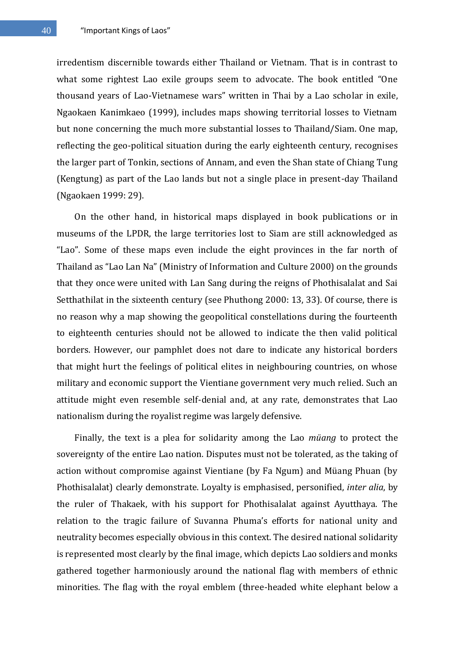40 "Important Kings of Laos"

irredentism discernible towards either Thailand or Vietnam. That is in contrast to what some rightest Lao exile groups seem to advocate. The book entitled "One thousand years of Lao-Vietnamese wars" written in Thai by a Lao scholar in exile, Ngaokaen Kanimkaeo (1999), includes maps showing territorial losses to Vietnam but none concerning the much more substantial losses to Thailand/Siam. One map, reflecting the geo-political situation during the early eighteenth century, recognises the larger part of Tonkin, sections of Annam, and even the Shan state of Chiang Tung (Kengtung) as part of the Lao lands but not a single place in present-day Thailand (Ngaokaen 1999: 29).

On the other hand, in historical maps displayed in book publications or in museums of the LPDR, the large territories lost to Siam are still acknowledged as "Lao". Some of these maps even include the eight provinces in the far north of Thailand as "Lao Lan Na" (Ministry of Information and Culture 2000) on the grounds that they once were united with Lan Sang during the reigns of Phothisalalat and Sai Setthathilat in the sixteenth century (see Phuthong 2000: 13, 33). Of course, there is no reason why a map showing the geopolitical constellations during the fourteenth to eighteenth centuries should not be allowed to indicate the then valid political borders. However, our pamphlet does not dare to indicate any historical borders that might hurt the feelings of political elites in neighbouring countries, on whose military and economic support the Vientiane government very much relied. Such an attitude might even resemble self-denial and, at any rate, demonstrates that Lao nationalism during the royalist regime was largely defensive.

Finally, the text is a plea for solidarity among the Lao *müang* to protect the sovereignty of the entire Lao nation. Disputes must not be tolerated, as the taking of action without compromise against Vientiane (by Fa Ngum) and Müang Phuan (by Phothisalalat) clearly demonstrate. Loyalty is emphasised, personified, *inter alia*, by the ruler of Thakaek, with his support for Phothisalalat against Ayutthaya. The relation to the tragic failure of Suvanna Phuma's efforts for national unity and neutrality becomes especially obvious in this context. The desired national solidarity is represented most clearly by the final image, which depicts Lao soldiers and monks gathered together harmoniously around the national flag with members of ethnic minorities. The flag with the royal emblem (three-headed white elephant below a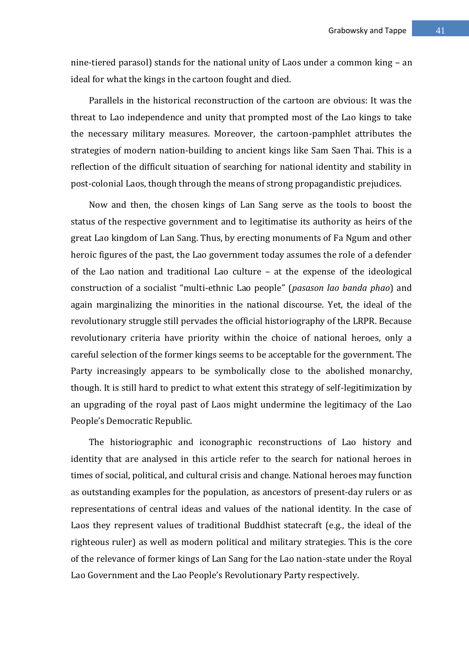nine-tiered parasol) stands for the national unity of Laos under a common king – an ideal for what the kings in the cartoon fought and died.

Parallels in the historical reconstruction of the cartoon are obvious: It was the threat to Lao independence and unity that prompted most of the Lao kings to take the necessary military measures. Moreover, the cartoon-pamphlet attributes the strategies of modern nation-building to ancient kings like Sam Saen Thai. This is a reflection of the difficult situation of searching for national identity and stability in post-colonial Laos, though through the means of strong propagandistic prejudices.

Now and then, the chosen kings of Lan Sang serve as the tools to boost the status of the respective government and to legitimatise its authority as heirs of the great Lao kingdom of Lan Sang. Thus, by erecting monuments of Fa Ngum and other heroic figures of the past, the Lao government today assumes the role of a defender of the Lao nation and traditional Lao culture – at the expense of the ideological construction of a socialist "multi-ethnic Lao people" (*pasason lao banda phao*) and again marginalizing the minorities in the national discourse. Yet, the ideal of the revolutionary struggle still pervades the official historiography of the LRPR. Because revolutionary criteria have priority within the choice of national heroes, only a careful selection of the former kings seems to be acceptable for the government. The Party increasingly appears to be symbolically close to the abolished monarchy, though. It is still hard to predict to what extent this strategy of self-legitimization by an upgrading of the royal past of Laos might undermine the legitimacy of the Lao People's Democratic Republic.

The historiographic and iconographic reconstructions of Lao history and identity that are analysed in this article refer to the search for national heroes in times of social, political, and cultural crisis and change. National heroes may function as outstanding examples for the population, as ancestors of present-day rulers or as representations of central ideas and values of the national identity. In the case of Laos they represent values of traditional Buddhist statecraft (e.g., the ideal of the righteous ruler) as well as modern political and military strategies. This is the core of the relevance of former kings of Lan Sang for the Lao nation-state under the Royal Lao Government and the Lao People's Revolutionary Party respectively.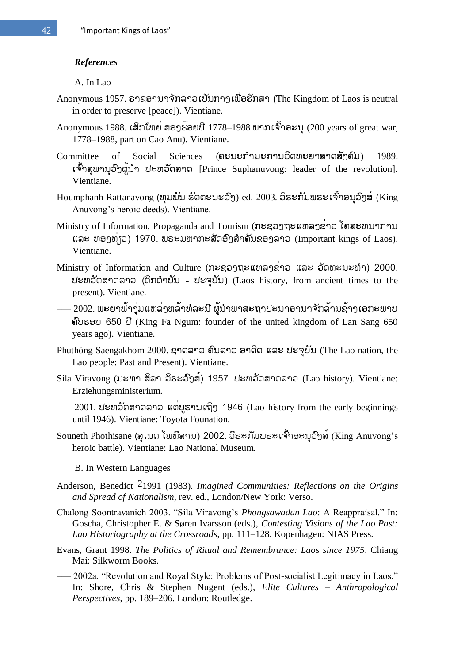## *References*

A. In Lao

- Anonymous 1957. ຣາຊອານາຈັກລາວເປັນກາງເພື່ອຮັກສາ (The Kingdom of Laos is neutral in order to preserve [peace]). Vientiane.
- Anonymous 1988. เสิทใขย่ สอງรัอยปี 1778-1988 พาทเจ้าอะบุ (200 years of great war, 1778–1988, part on Cao Anu). Vientiane.
- Committee of Social Sciences (ຄະນະກຳມະການວິດທະຍາສາດສັງຄົມ) 1989. เจ้ำสพาบอ์ๆผู้บำ ปะตอัดสาด [Prince Suphanuvong: leader of the revolution]. Vientiane.
- Houmphanh Rattanavong (ຫຸຸມພັນ ຣັດຕະນະວົງ) ed. 2003. ວິຣະກັມພຣະເຈົ້າອນຸວົງສ໌ (King Anuvong's heroic deeds). Vientiane.
- Ministry of Information, Propaganda and Tourism (ກະຊວງຖະແຫລງຂ່າວ ໂຄສະຫນາການ ແລະ ທ່ອງທ່າວ) 1970. ພຣະມຫາກະສັດອົງສຳຄັນຂອງລາວ (Important kings of Laos). Vientiane.
- Ministry of Information and Culture (ภะຊວງຖະແຫລງຂ່າວ ແລະ ວັດທະນະທໍາ) 2000. ปะขาวัดสาดลาว (ดึกดำบับ - ปะจุบับ) (Laos history, from ancient times to the present). Vientiane.
- $-$  2002. ພະຍາພ້າງຸ່ມແຫລ່ງຫລ້າທໍລະນີ ຜູ້ນຳພາສະຖາປະນາອານາຈັກລ້ານຊ້າງເອກະພາບ 650 (King Fa Ngum: founder of the united kingdom of Lan Sang 650 years ago). Vientiane.
- Phuthòng Saengakhom 2000. ຊາດລາວ ຄົນລາວ ອາດີດ ແລະ ປະຈຸບັນ (The Lao nation, the Lao people: Past and Present). Vientiane.
- Sila Viravong (มะขา สีลา อีธะอ์)ล์) 1957. ปะขอัดสาดลาอ (Lao history). Vientiane: Erziehungsministerium.
- $-$  2001. ปะขาวัดสาดลาว แต่บูธาบเที่ๆ 1946 (Lao history from the early beginnings until 1946). Vientiane: Toyota Founation.
- Souneth Phothisane (สุเบด โพทิสาบ) 2002. อีระทัมพระเจ้ำอะบุอิาส์ (King Anuvong's heroic battle). Vientiane: Lao National Museum.

B. In Western Languages

- Anderson, Benedict 21991 (1983). *Imagined Communities: Reflections on the Origins and Spread of Nationalism*, rev. ed., London/New York: Verso.
- Chalong Soontravanich 2003. "Sila Viravong's *Phongsawadan Lao*: A Reappraisal." In: Goscha, Christopher E. & Søren Ivarsson (eds.), *Contesting Visions of the Lao Past: Lao Historiography at the Crossroads*, pp. 111–128. Kopenhagen: NIAS Press.
- Evans, Grant 1998. *The Politics of Ritual and Remembrance: Laos since 1975*. Chiang Mai: Silkworm Books.
- —– 2002a. "Revolution and Royal Style: Problems of Post-socialist Legitimacy in Laos." In: Shore, Chris & Stephen Nugent (eds.), *Elite Cultures – Anthropological Perspectives*, pp. 189–206. London: Routledge.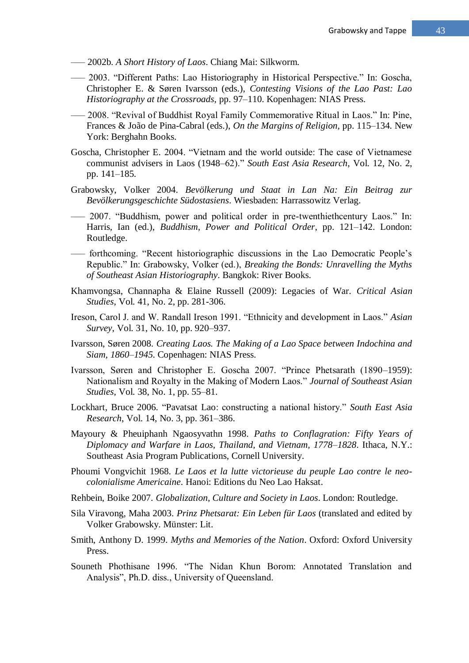- ––– 2002b. *A Short History of Laos*. Chiang Mai: Silkworm.
- ––– 2003. ―Different Paths: Lao Historiography in Historical Perspective.‖ In: Goscha, Christopher E. & Søren Ivarsson (eds.), *Contesting Visions of the Lao Past: Lao Historiography at the Crossroads*, pp. 97–110. Kopenhagen: NIAS Press.
- 2008. "Revival of Buddhist Royal Family Commemorative Ritual in Laos." In: Pine, Frances & João de Pina-Cabral (eds.), *On the Margins of Religion*, pp. 115–134. New York: Berghahn Books.
- Goscha, Christopher E. 2004. "Vietnam and the world outside: The case of Vietnamese communist advisers in Laos (1948–62).‖ *South East Asia Research*, Vol. 12, No. 2, pp. 141–185.
- Grabowsky, Volker 2004. *Bevölkerung und Staat in Lan Na: Ein Beitrag zur Bevölkerungsgeschichte Südostasiens*. Wiesbaden: Harrassowitz Verlag.
- —– 2007. "Buddhism, power and political order in pre-twenthiethcentury Laos." In: Harris, Ian (ed.), *Buddhism, Power and Political Order*, pp. 121–142. London: Routledge.
- —– forthcoming. "Recent historiographic discussions in the Lao Democratic People's Republic.‖ In: Grabowsky, Volker (ed.), *Breaking the Bonds: Unravelling the Myths of Southeast Asian Historiography*. Bangkok: River Books.
- Khamvongsa, Channapha & Elaine Russell (2009): Legacies of War. *Critical Asian Studies*, Vol. 41, No. 2, pp. 281-306.
- Ireson, Carol J. and W. Randall Ireson 1991. "Ethnicity and development in Laos." Asian *Survey*, Vol. 31, No. 10, pp. 920–937.
- Ivarsson, Søren 2008. *Creating Laos. The Making of a Lao Space between Indochina and Siam, 1860–1945*. Copenhagen: NIAS Press.
- Ivarsson, Søren and Christopher E. Goscha 2007. "Prince Phetsarath (1890–1959): Nationalism and Royalty in the Making of Modern Laos.‖ *Journal of Southeast Asian Studies*, Vol. 38, No. 1, pp. 55–81.
- Lockhart, Bruce 2006. "Pavatsat Lao: constructing a national history." South East Asia *Research*, Vol. 14, No. 3, pp. 361–386.
- Mayoury & Pheuiphanh Ngaosyvathn 1998. *Paths to Conflagration: Fifty Years of Diplomacy and Warfare in Laos, Thailand, and Vietnam, 1778–1828*. Ithaca, N.Y.: Southeast Asia Program Publications, Cornell University.
- Phoumi Vongvichit 1968. *Le Laos et la lutte victorieuse du peuple Lao contre le neocolonialisme Americaine*. Hanoi: Editions du Neo Lao Haksat.
- Rehbein, Boike 2007. *Globalization, Culture and Society in Laos*. London: Routledge.
- Sila Viravong, Maha 2003. *Prinz Phetsarat: Ein Leben für Laos* (translated and edited by Volker Grabowsky. Münster: Lit.
- Smith, Anthony D. 1999. *Myths and Memories of the Nation*. Oxford: Oxford University Press.
- Souneth Phothisane 1996. "The Nidan Khun Borom: Annotated Translation and Analysis", Ph.D. diss., University of Queensland.